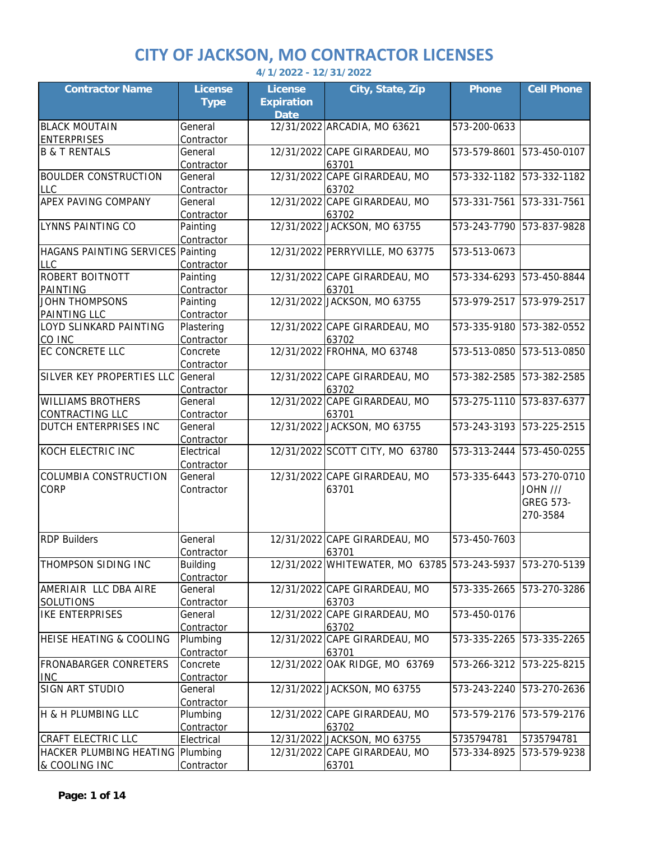## **CITY OF JACKSON, MO CONTRACTOR LICENSES**

**4/1/2022 - 12/31/2022**

| <b>Contractor Name</b>                        | <b>License</b><br><b>Type</b> | <b>License</b><br><b>Expiration</b><br><b>Date</b> | City, State, Zip                                          | <b>Phone</b> | <b>Cell Phone</b>                        |
|-----------------------------------------------|-------------------------------|----------------------------------------------------|-----------------------------------------------------------|--------------|------------------------------------------|
| <b>BLACK MOUTAIN</b>                          | General                       |                                                    | 12/31/2022 ARCADIA, MO 63621                              | 573-200-0633 |                                          |
| <b>ENTERPRISES</b>                            | Contractor                    |                                                    |                                                           |              |                                          |
| <b>B &amp; T RENTALS</b>                      | General                       |                                                    | 12/31/2022 CAPE GIRARDEAU, MO                             | 573-579-8601 | 573-450-0107                             |
|                                               | Contractor                    |                                                    | 63701                                                     |              |                                          |
| <b>BOULDER CONSTRUCTION</b>                   | General                       |                                                    | 12/31/2022 CAPE GIRARDEAU, MO                             | 573-332-1182 | 573-332-1182                             |
| <b>LLC</b>                                    | Contractor                    |                                                    | 63702                                                     |              |                                          |
| APEX PAVING COMPANY                           | General                       |                                                    | 12/31/2022 CAPE GIRARDEAU, MO                             | 573-331-7561 | 573-331-7561                             |
|                                               | Contractor                    |                                                    | 63702                                                     |              |                                          |
| LYNNS PAINTING CO                             | Painting                      |                                                    | 12/31/2022 JACKSON, MO 63755                              | 573-243-7790 | 573-837-9828                             |
|                                               | Contractor                    |                                                    |                                                           |              |                                          |
| HAGANS PAINTING SERVICES Painting             |                               |                                                    | 12/31/2022 PERRYVILLE, MO 63775                           | 573-513-0673 |                                          |
| <b>LLC</b>                                    | Contractor                    |                                                    |                                                           |              |                                          |
| ROBERT BOITNOTT                               | Painting                      |                                                    | 12/31/2022 CAPE GIRARDEAU, MO                             |              | 573-334-6293 573-450-8844                |
| PAINTING                                      | Contractor                    |                                                    | 63701<br>12/31/2022 JACKSON, MO 63755                     |              |                                          |
| JOHN THOMPSONS                                | Painting                      |                                                    |                                                           |              | 573-979-2517 573-979-2517                |
| <b>PAINTING LLC</b><br>LOYD SLINKARD PAINTING | Contractor<br>Plastering      |                                                    | 12/31/2022 CAPE GIRARDEAU, MO                             | 573-335-9180 | 573-382-0552                             |
| CO INC                                        |                               |                                                    | 63702                                                     |              |                                          |
| EC CONCRETE LLC                               | Contractor<br>Concrete        |                                                    | 12/31/2022 FROHNA, MO 63748                               | 573-513-0850 | 573-513-0850                             |
|                                               | Contractor                    |                                                    |                                                           |              |                                          |
| SILVER KEY PROPERTIES LLC                     | General                       |                                                    | 12/31/2022 CAPE GIRARDEAU, MO                             | 573-382-2585 | 573-382-2585                             |
|                                               | Contractor                    |                                                    | 63702                                                     |              |                                          |
| <b>WILLIAMS BROTHERS</b>                      | General                       |                                                    | 12/31/2022 CAPE GIRARDEAU, MO                             | 573-275-1110 | 573-837-6377                             |
| CONTRACTING LLC                               | Contractor                    |                                                    | 63701                                                     |              |                                          |
| DUTCH ENTERPRISES INC                         | General                       |                                                    | 12/31/2022 JACKSON, MO 63755                              | 573-243-3193 | 573-225-2515                             |
|                                               | Contractor                    |                                                    |                                                           |              |                                          |
| KOCH ELECTRIC INC                             | Electrical                    |                                                    | 12/31/2022 SCOTT CITY, MO 63780                           | 573-313-2444 | 573-450-0255                             |
|                                               | Contractor                    |                                                    |                                                           |              |                                          |
| <b>COLUMBIA CONSTRUCTION</b>                  | General                       |                                                    | 12/31/2022 CAPE GIRARDEAU, MO                             | 573-335-6443 | 573-270-0710                             |
| <b>CORP</b>                                   | Contractor                    |                                                    | 63701                                                     |              | JOHN ///<br><b>GREG 573-</b><br>270-3584 |
| <b>RDP Builders</b>                           | General                       |                                                    | 12/31/2022 CAPE GIRARDEAU, MO                             | 573-450-7603 |                                          |
|                                               | Contractor                    |                                                    | 63701                                                     |              |                                          |
| THOMPSON SIDING INC                           | <b>Building</b>               |                                                    | 12/31/2022 WHITEWATER, MO 63785 573-243-5937 573-270-5139 |              |                                          |
|                                               | Contractor                    |                                                    |                                                           |              |                                          |
| AMERIAIR LLC DBA AIRE                         | General                       |                                                    | 12/31/2022 CAPE GIRARDEAU, MO                             |              | 573-335-2665 573-270-3286                |
| <b>SOLUTIONS</b>                              | Contractor                    |                                                    | 63703                                                     |              |                                          |
| <b>IKE ENTERPRISES</b>                        | General                       |                                                    | 12/31/2022 CAPE GIRARDEAU, MO                             | 573-450-0176 |                                          |
|                                               | Contractor                    |                                                    | 63702                                                     |              |                                          |
| <b>HEISE HEATING &amp; COOLING</b>            | Plumbing                      |                                                    | 12/31/2022 CAPE GIRARDEAU, MO                             | 573-335-2265 | 573-335-2265                             |
|                                               | Contractor                    |                                                    | 63701                                                     |              |                                          |
| <b>FRONABARGER CONRETERS</b>                  | Concrete                      |                                                    | 12/31/2022 OAK RIDGE, MO 63769                            | 573-266-3212 | 573-225-8215                             |
| <b>INC</b>                                    | Contractor                    |                                                    |                                                           |              | 573-270-2636                             |
| SIGN ART STUDIO                               | General                       |                                                    | 12/31/2022 JACKSON, MO 63755                              | 573-243-2240 |                                          |
|                                               | Contractor                    |                                                    |                                                           |              |                                          |
| <b>H &amp; H PLUMBING LLC</b>                 | Plumbing                      |                                                    | 12/31/2022 CAPE GIRARDEAU, MO                             | 573-579-2176 | 573-579-2176                             |
|                                               | Contractor                    |                                                    | 63702                                                     |              |                                          |
| CRAFT ELECTRIC LLC                            | Electrical                    |                                                    | 12/31/2022 JACKSON, MO 63755                              | 5735794781   | 5735794781                               |
| HACKER PLUMBING HEATING   Plumbing            |                               |                                                    | 12/31/2022 CAPE GIRARDEAU, MO                             | 573-334-8925 | 573-579-9238                             |
| & COOLING INC                                 | Contractor                    |                                                    | 63701                                                     |              |                                          |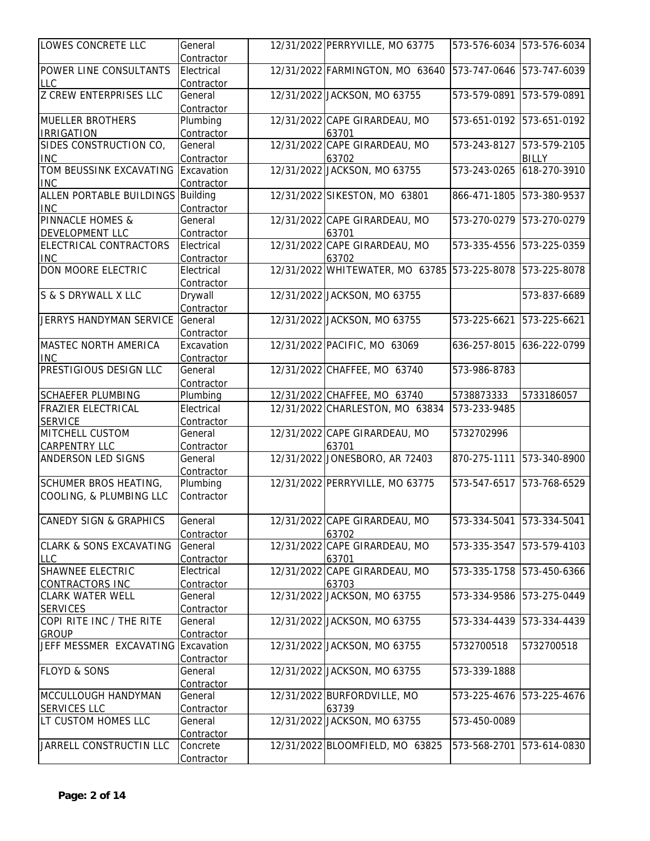| LOWES CONCRETE LLC                                      | General<br>Contractor         | 12/31/2022 PERRYVILLE, MO 63775                       | 573-576-6034 | 573-576-6034              |
|---------------------------------------------------------|-------------------------------|-------------------------------------------------------|--------------|---------------------------|
| POWER LINE CONSULTANTS<br><b>LLC</b>                    | Electrical<br>Contractor      | 12/31/2022 FARMINGTON, MO 63640                       | 573-747-0646 | 573-747-6039              |
| <b>Z CREW ENTERPRISES LLC</b>                           | General<br>Contractor         | 12/31/2022 JACKSON, MO 63755                          | 573-579-0891 | 573-579-0891              |
| <b>MUELLER BROTHERS</b><br><b>IRRIGATION</b>            | Plumbing<br>Contractor        | 12/31/2022 CAPE GIRARDEAU, MO<br>63701                | 573-651-0192 | 573-651-0192              |
| SIDES CONSTRUCTION CO.                                  | General                       | 12/31/2022 CAPE GIRARDEAU, MO                         |              | 573-243-8127 573-579-2105 |
| <b>INC</b>                                              | Contractor                    | 63702                                                 |              | <b>BILLY</b>              |
| TOM BEUSSINK EXCAVATING<br><b>INC</b>                   | Excavation<br>Contractor      | 12/31/2022 JACKSON, MO 63755                          | 573-243-0265 | 618-270-3910              |
| ALLEN PORTABLE BUILDINGS<br><b>INC</b>                  | <b>Building</b><br>Contractor | 12/31/2022 SIKESTON, MO 63801                         | 866-471-1805 | 573-380-9537              |
| <b>PINNACLE HOMES &amp;</b>                             | General                       | 12/31/2022 CAPE GIRARDEAU, MO                         | 573-270-0279 | 573-270-0279              |
| DEVELOPMENT LLC                                         | Contractor                    | 63701                                                 |              |                           |
| ELECTRICAL CONTRACTORS                                  | Electrical                    | 12/31/2022 CAPE GIRARDEAU, MO                         | 573-335-4556 | 573-225-0359              |
| <b>INC</b><br>DON MOORE ELECTRIC                        | Contractor<br>Electrical      | 63702<br>12/31/2022 WHITEWATER, MO 63785 573-225-8078 |              | 573-225-8078              |
|                                                         | Contractor                    |                                                       |              |                           |
| S & S DRYWALL X LLC                                     | Drywall<br>Contractor         | 12/31/2022 JACKSON, MO 63755                          |              | 573-837-6689              |
| JERRYS HANDYMAN SERVICE                                 | General<br>Contractor         | 12/31/2022 JACKSON, MO 63755                          | 573-225-6621 | 573-225-6621              |
| MASTEC NORTH AMERICA<br><b>INC</b>                      | Excavation<br>Contractor      | 12/31/2022 PACIFIC, MO 63069                          | 636-257-8015 | 636-222-0799              |
| PRESTIGIOUS DESIGN LLC                                  | General<br>Contractor         | 12/31/2022 CHAFFEE, MO 63740                          | 573-986-8783 |                           |
| <b>SCHAEFER PLUMBING</b>                                | Plumbing                      | 12/31/2022 CHAFFEE, MO 63740                          | 5738873333   | 5733186057                |
| FRAZIER ELECTRICAL<br><b>SERVICE</b>                    | Electrical<br>Contractor      | 12/31/2022 CHARLESTON, MO 63834                       | 573-233-9485 |                           |
| MITCHELL CUSTOM                                         | General                       | 12/31/2022 CAPE GIRARDEAU, MO                         | 5732702996   |                           |
| <b>CARPENTRY LLC</b>                                    | Contractor                    | 63701                                                 |              |                           |
| ANDERSON LED SIGNS                                      | General                       | 12/31/2022 JONESBORO, AR 72403                        | 870-275-1111 | 573-340-8900              |
|                                                         | Contractor                    |                                                       |              |                           |
| <b>SCHUMER BROS HEATING,</b><br>COOLING, & PLUMBING LLC | Plumbing<br>Contractor        | 12/31/2022 PERRYVILLE, MO 63775                       | 573-547-6517 | 573-768-6529              |
| <b>CANEDY SIGN &amp; GRAPHICS</b>                       | General<br>Contractor         | 12/31/2022 CAPE GIRARDEAU, MO<br>63702                | 573-334-5041 | 573-334-5041              |
| <b>CLARK &amp; SONS EXCAVATING</b><br><b>LLC</b>        | General<br>Contractor         | 12/31/2022 CAPE GIRARDEAU, MO<br>63701                | 573-335-3547 | 573-579-4103              |
| <b>SHAWNEE ELECTRIC</b>                                 | Electrical                    | 12/31/2022 CAPE GIRARDEAU, MO                         | 573-335-1758 | 573-450-6366              |
| <b>CONTRACTORS INC</b>                                  | Contractor                    | 63703                                                 |              |                           |
| <b>CLARK WATER WELL</b><br><b>SERVICES</b>              | General<br>Contractor         | 12/31/2022 JACKSON, MO 63755                          | 573-334-9586 | 573-275-0449              |
| COPI RITE INC / THE RITE                                | General                       | 12/31/2022 JACKSON, MO 63755                          | 573-334-4439 | 573-334-4439              |
| <b>GROUP</b>                                            | Contractor                    |                                                       |              |                           |
| JEFF MESSMER EXCAVATING                                 | Excavation<br>Contractor      | 12/31/2022 JACKSON, MO 63755                          | 5732700518   | 5732700518                |
| <b>FLOYD &amp; SONS</b>                                 | General<br>Contractor         | 12/31/2022 JACKSON, MO 63755                          | 573-339-1888 |                           |
| MCCULLOUGH HANDYMAN                                     | General                       | 12/31/2022 BURFORDVILLE, MO                           | 573-225-4676 | 573-225-4676              |
| <b>SERVICES LLC</b>                                     | Contractor                    | 63739                                                 |              |                           |
| LT CUSTOM HOMES LLC                                     | General<br>Contractor         | 12/31/2022 JACKSON, MO 63755                          | 573-450-0089 |                           |
| JARRELL CONSTRUCTIN LLC                                 | Concrete                      | 12/31/2022 BLOOMFIELD, MO 63825                       | 573-568-2701 | 573-614-0830              |
|                                                         | Contractor                    |                                                       |              |                           |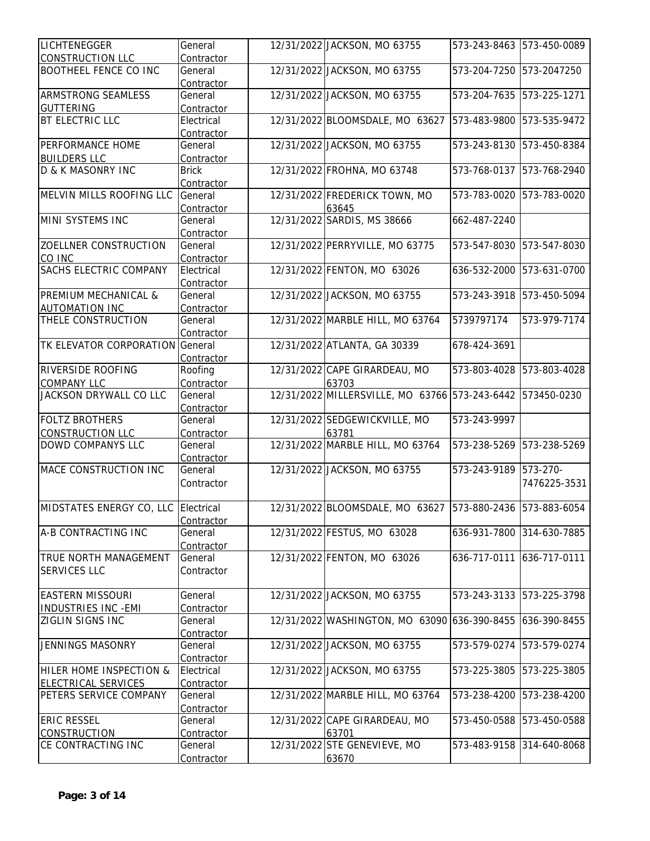| <b>LICHTENEGGER</b>                 | General      | 12/31/2022 JACKSON, MO 63755                              | 573-243-8463 | 573-450-0089 |
|-------------------------------------|--------------|-----------------------------------------------------------|--------------|--------------|
| <b>CONSTRUCTION LLC</b>             | Contractor   |                                                           |              |              |
| <b>BOOTHEEL FENCE CO INC</b>        | General      | 12/31/2022 JACKSON, MO 63755                              | 573-204-7250 | 573-2047250  |
|                                     | Contractor   |                                                           |              |              |
| <b>ARMSTRONG SEAMLESS</b>           | General      | 12/31/2022 JACKSON, MO 63755                              | 573-204-7635 | 573-225-1271 |
| <b>GUTTERING</b>                    | Contractor   |                                                           |              |              |
| <b>BT ELECTRIC LLC</b>              | Electrical   | 12/31/2022 BLOOMSDALE, MO 63627                           | 573-483-9800 | 573-535-9472 |
|                                     | Contractor   |                                                           |              |              |
| PERFORMANCE HOME                    | General      | 12/31/2022 JACKSON, MO 63755                              | 573-243-8130 | 573-450-8384 |
| <b>BUILDERS LLC</b>                 | Contractor   |                                                           |              |              |
| <b>D &amp; K MASONRY INC</b>        | <b>Brick</b> | 12/31/2022 FROHNA, MO 63748                               | 573-768-0137 | 573-768-2940 |
|                                     | Contractor   |                                                           |              |              |
| MELVIN MILLS ROOFING LLC            | General      | 12/31/2022 FREDERICK TOWN, MO                             | 573-783-0020 | 573-783-0020 |
|                                     | Contractor   | 63645                                                     |              |              |
| MINI SYSTEMS INC                    | General      | 12/31/2022 SARDIS, MS 38666                               | 662-487-2240 |              |
|                                     | Contractor   |                                                           |              |              |
| ZOELLNER CONSTRUCTION               | General      | 12/31/2022 PERRYVILLE, MO 63775                           | 573-547-8030 | 573-547-8030 |
| CO INC                              | Contractor   |                                                           |              |              |
| <b>SACHS ELECTRIC COMPANY</b>       | Electrical   | 12/31/2022 FENTON, MO 63026                               | 636-532-2000 | 573-631-0700 |
|                                     | Contractor   |                                                           |              |              |
| <b>PREMIUM MECHANICAL &amp;</b>     | General      | 12/31/2022 JACKSON, MO 63755                              | 573-243-3918 | 573-450-5094 |
| <b>AUTOMATION INC</b>               | Contractor   |                                                           |              |              |
| THELE CONSTRUCTION                  | General      | 12/31/2022 MARBLE HILL, MO 63764                          | 5739797174   | 573-979-7174 |
|                                     | Contractor   |                                                           |              |              |
| TK ELEVATOR CORPORATION             | General      | 12/31/2022 ATLANTA, GA 30339                              | 678-424-3691 |              |
|                                     | Contractor   |                                                           |              |              |
| RIVERSIDE ROOFING                   | Roofing      | 12/31/2022 CAPE GIRARDEAU, MO                             | 573-803-4028 | 573-803-4028 |
| <b>COMPANY LLC</b>                  | Contractor   | 63703                                                     |              |              |
| JACKSON DRYWALL CO LLC              | General      | 12/31/2022 MILLERSVILLE, MO 63766 573-243-6442            |              | 573450-0230  |
|                                     | Contractor   |                                                           |              |              |
| <b>FOLTZ BROTHERS</b>               | General      | 12/31/2022 SEDGEWICKVILLE, MO                             | 573-243-9997 |              |
| CONSTRUCTION LLC                    | Contractor   | 63781                                                     |              |              |
| DOWD COMPANYS LLC                   | General      | 12/31/2022 MARBLE HILL, MO 63764                          | 573-238-5269 | 573-238-5269 |
|                                     | Contractor   |                                                           |              |              |
| MACE CONSTRUCTION INC               | General      | 12/31/2022 JACKSON, MO 63755                              | 573-243-9189 | 573-270-     |
|                                     | Contractor   |                                                           |              | 7476225-3531 |
|                                     |              |                                                           |              |              |
| MIDSTATES ENERGY CO, LLC Electrical |              | 12/31/2022 BLOOMSDALE, MO 63627 573-880-2436 573-883-6054 |              |              |
|                                     | Contractor   |                                                           |              |              |
| A-B CONTRACTING INC                 | General      | 12/31/2022 FESTUS, MO 63028                               | 636-931-7800 | 314-630-7885 |
|                                     | Contractor   |                                                           |              |              |
| TRUE NORTH MANAGEMENT               | General      | 12/31/2022 FENTON, MO 63026                               | 636-717-0111 | 636-717-0111 |
| <b>SERVICES LLC</b>                 | Contractor   |                                                           |              |              |
|                                     |              |                                                           |              |              |
| <b>EASTERN MISSOURI</b>             | General      | 12/31/2022 JACKSON, MO 63755                              | 573-243-3133 | 573-225-3798 |
| INDUSTRIES INC - EMI                | Contractor   |                                                           |              |              |
| ZIGLIN SIGNS INC                    | General      | 12/31/2022 WASHINGTON, MO 63090 636-390-8455              |              | 636-390-8455 |
|                                     | Contractor   |                                                           |              |              |
| JENNINGS MASONRY                    | General      | 12/31/2022 JACKSON, MO 63755                              | 573-579-0274 | 573-579-0274 |
|                                     | Contractor   |                                                           |              |              |
| <b>HILER HOME INSPECTION &amp;</b>  | Electrical   | 12/31/2022 JACKSON, MO 63755                              | 573-225-3805 | 573-225-3805 |
| ELECTRICAL SERVICES                 | Contractor   |                                                           |              |              |
| PETERS SERVICE COMPANY              | General      | 12/31/2022 MARBLE HILL, MO 63764                          | 573-238-4200 | 573-238-4200 |
|                                     | Contractor   |                                                           |              |              |
| <b>ERIC RESSEL</b>                  | General      | 12/31/2022 CAPE GIRARDEAU, MO                             | 573-450-0588 | 573-450-0588 |
| <b>CONSTRUCTION</b>                 | Contractor   | 63701                                                     |              |              |
| CE CONTRACTING INC                  | General      | 12/31/2022 STE GENEVIEVE, MO                              | 573-483-9158 | 314-640-8068 |
|                                     | Contractor   | 63670                                                     |              |              |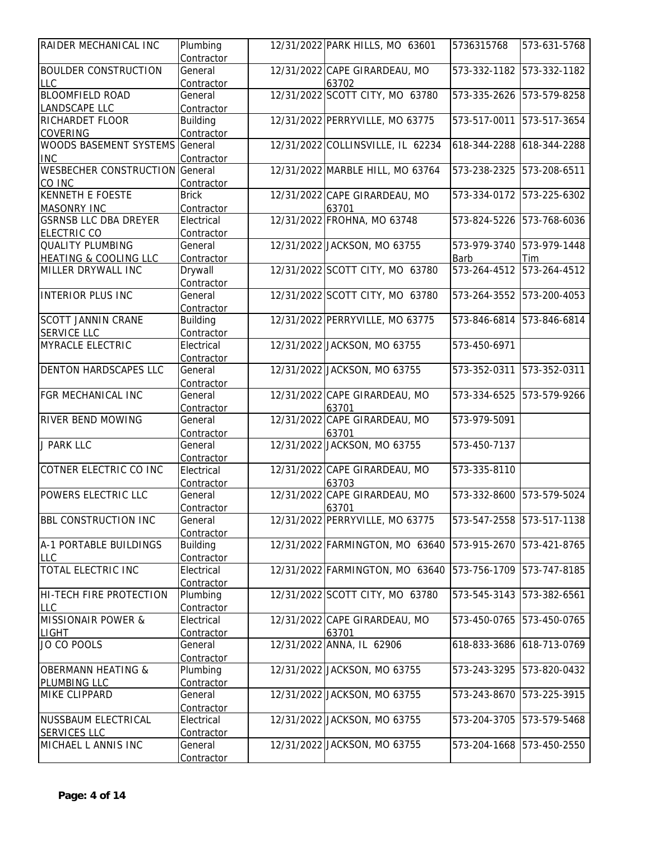| RAIDER MECHANICAL INC                     | Plumbing<br>Contractor        | 12/31/2022 PARK HILLS, MO 63601        | 5736315768   | 573-631-5768 |
|-------------------------------------------|-------------------------------|----------------------------------------|--------------|--------------|
| <b>BOULDER CONSTRUCTION</b><br><b>LLC</b> | General                       | 12/31/2022 CAPE GIRARDEAU, MO<br>63702 | 573-332-1182 | 573-332-1182 |
| <b>BLOOMFIELD ROAD</b>                    | Contractor<br>General         | 12/31/2022 SCOTT CITY, MO 63780        | 573-335-2626 | 573-579-8258 |
| LANDSCAPE LLC<br>RICHARDET FLOOR          | Contractor<br><b>Building</b> | 12/31/2022 PERRYVILLE, MO 63775        | 573-517-0011 | 573-517-3654 |
| <b>COVERING</b>                           | Contractor                    |                                        |              |              |
| WOODS BASEMENT SYSTEMS                    | General                       | 12/31/2022 COLLINSVILLE, IL 62234      | 618-344-2288 | 618-344-2288 |
| <b>INC</b>                                | Contractor                    |                                        |              |              |
| WESBECHER CONSTRUCTION General<br>CO INC  | Contractor                    | 12/31/2022 MARBLE HILL, MO 63764       | 573-238-2325 | 573-208-6511 |
| <b>KENNETH E FOESTE</b>                   | <b>Brick</b>                  | 12/31/2022 CAPE GIRARDEAU, MO          | 573-334-0172 | 573-225-6302 |
| MASONRY INC                               | Contractor                    | 63701                                  |              |              |
| <b>GSRNSB LLC DBA DREYER</b>              | Electrical                    | 12/31/2022 FROHNA, MO 63748            | 573-824-5226 | 573-768-6036 |
| <b>ELECTRIC CO</b>                        | Contractor                    |                                        |              |              |
| <b>QUALITY PLUMBING</b>                   | General                       | 12/31/2022 JACKSON, MO 63755           | 573-979-3740 | 573-979-1448 |
| <b>HEATING &amp; COOLING LLC</b>          | Contractor                    |                                        | Barb         | Tim          |
| MILLER DRYWALL INC                        | Drywall                       | 12/31/2022 SCOTT CITY, MO 63780        | 573-264-4512 | 573-264-4512 |
|                                           | Contractor                    |                                        |              |              |
| <b>INTERIOR PLUS INC</b>                  | General                       | 12/31/2022 SCOTT CITY, MO 63780        | 573-264-3552 | 573-200-4053 |
|                                           | Contractor                    |                                        |              |              |
| <b>SCOTT JANNIN CRANE</b>                 | <b>Building</b>               | 12/31/2022 PERRYVILLE, MO 63775        | 573-846-6814 | 573-846-6814 |
| <b>SERVICE LLC</b>                        | Contractor                    |                                        |              |              |
| MYRACLE ELECTRIC                          | Electrical                    | 12/31/2022 JACKSON, MO 63755           | 573-450-6971 |              |
|                                           | Contractor                    |                                        |              |              |
| DENTON HARDSCAPES LLC                     | General                       | 12/31/2022 JACKSON, MO 63755           | 573-352-0311 | 573-352-0311 |
|                                           | Contractor                    |                                        |              |              |
| FGR MECHANICAL INC                        | General                       | 12/31/2022 CAPE GIRARDEAU, MO          | 573-334-6525 | 573-579-9266 |
|                                           | Contractor                    | 63701<br>12/31/2022 CAPE GIRARDEAU, MO |              |              |
| RIVER BEND MOWING                         | General                       |                                        | 573-979-5091 |              |
| <b>J PARK LLC</b>                         | Contractor<br>General         | 63701<br>12/31/2022 JACKSON, MO 63755  | 573-450-7137 |              |
|                                           | Contractor                    |                                        |              |              |
| COTNER ELECTRIC CO INC                    | Electrical                    | 12/31/2022 CAPE GIRARDEAU, MO          | 573-335-8110 |              |
|                                           | Contractor                    | 63703                                  |              |              |
| POWERS ELECTRIC LLC                       | General                       | 12/31/2022 CAPE GIRARDEAU, MO          | 573-332-8600 | 573-579-5024 |
|                                           | Contractor                    | 63701                                  |              |              |
| <b>BBL CONSTRUCTION INC</b>               | General                       | 12/31/2022 PERRYVILLE, MO 63775        | 573-547-2558 | 573-517-1138 |
|                                           | Contractor                    |                                        |              |              |
| A-1 PORTABLE BUILDINGS                    | <b>Building</b>               | 12/31/2022 FARMINGTON, MO 63640        | 573-915-2670 | 573-421-8765 |
| <b>LLC</b>                                | Contractor                    |                                        |              |              |
| TOTAL ELECTRIC INC                        | Electrical                    | 12/31/2022 FARMINGTON, MO 63640        | 573-756-1709 | 573-747-8185 |
|                                           | Contractor                    |                                        |              |              |
| <b>HI-TECH FIRE PROTECTION</b>            | Plumbing                      | 12/31/2022 SCOTT CITY, MO 63780        | 573-545-3143 | 573-382-6561 |
| <b>LLC</b>                                | Contractor                    |                                        |              |              |
| <b>MISSIONAIR POWER &amp;</b>             | Electrical                    | 12/31/2022 CAPE GIRARDEAU, MO          | 573-450-0765 | 573-450-0765 |
| <b>LIGHT</b><br>JO CO POOLS               | Contractor<br>General         | 63701<br>12/31/2022 ANNA, IL 62906     | 618-833-3686 | 618-713-0769 |
|                                           | Contractor                    |                                        |              |              |
| <b>OBERMANN HEATING &amp;</b>             | Plumbing                      | 12/31/2022 JACKSON, MO 63755           | 573-243-3295 | 573-820-0432 |
| PLUMBING LLC                              | Contractor                    |                                        |              |              |
| MIKE CLIPPARD                             | General                       | 12/31/2022 JACKSON, MO 63755           | 573-243-8670 | 573-225-3915 |
|                                           | <b>Contractor</b>             |                                        |              |              |
| <b>NUSSBAUM ELECTRICAL</b>                | Electrical                    | 12/31/2022 JACKSON, MO 63755           | 573-204-3705 | 573-579-5468 |
| <b>SERVICES LLC</b>                       | Contractor                    |                                        |              |              |
| MICHAEL L ANNIS INC                       | General                       | 12/31/2022 JACKSON, MO 63755           | 573-204-1668 | 573-450-2550 |
|                                           | Contractor                    |                                        |              |              |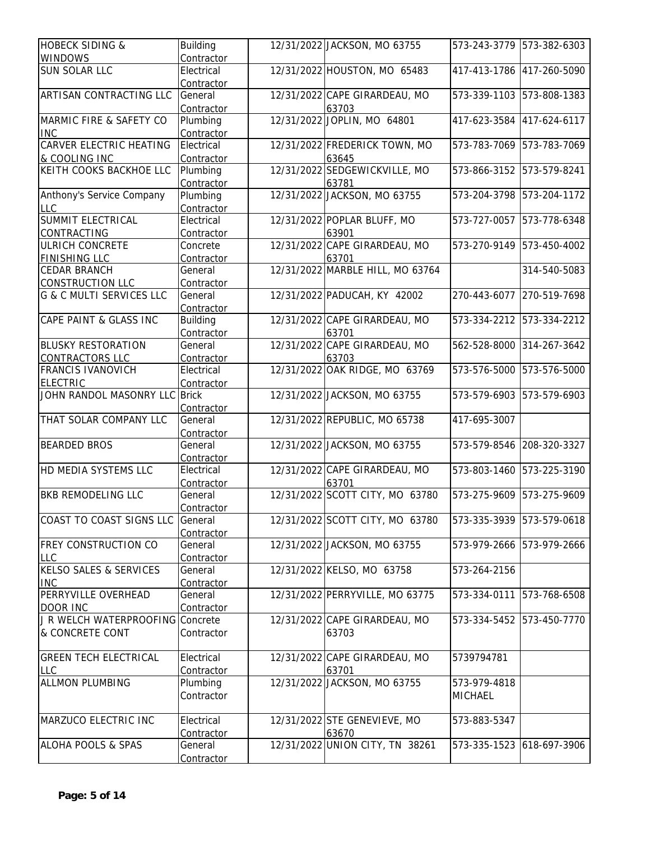| <b>HOBECK SIDING &amp;</b>          | <b>Building</b> | 12/31/2022 JACKSON, MO 63755     |                | 573-243-3779 573-382-6303 |
|-------------------------------------|-----------------|----------------------------------|----------------|---------------------------|
| <b>WINDOWS</b>                      | Contractor      |                                  |                |                           |
| SUN SOLAR LLC                       | Electrical      | 12/31/2022 HOUSTON, MO 65483     | 417-413-1786   | 417-260-5090              |
|                                     | Contractor      |                                  |                |                           |
| ARTISAN CONTRACTING LLC             | General         | 12/31/2022 CAPE GIRARDEAU, MO    | 573-339-1103   | 573-808-1383              |
|                                     | Contractor      | 63703                            |                |                           |
| MARMIC FIRE & SAFETY CO             | Plumbing        | 12/31/2022 JOPLIN, MO 64801      | 417-623-3584   | 417-624-6117              |
| <b>INC</b>                          | Contractor      |                                  |                |                           |
| <b>CARVER ELECTRIC HEATING</b>      | Electrical      | 12/31/2022 FREDERICK TOWN, MO    | 573-783-7069   | 573-783-7069              |
| & COOLING INC                       | Contractor      | 63645                            |                |                           |
| KEITH COOKS BACKHOE LLC             | Plumbing        | 12/31/2022 SEDGEWICKVILLE, MO    | 573-866-3152   | 573-579-8241              |
|                                     | Contractor      | 63781                            |                |                           |
| Anthony's Service Company           | Plumbing        | 12/31/2022 JACKSON, MO 63755     | 573-204-3798   | 573-204-1172              |
| <b>LLC</b>                          | Contractor      |                                  |                |                           |
| SUMMIT ELECTRICAL                   | Electrical      | 12/31/2022 POPLAR BLUFF, MO      | 573-727-0057   | 573-778-6348              |
| CONTRACTING                         | Contractor      | 63901                            |                |                           |
| <b>ULRICH CONCRETE</b>              | Concrete        | 12/31/2022 CAPE GIRARDEAU, MO    | 573-270-9149   | 573-450-4002              |
| <b>FINISHING LLC</b>                | Contractor      | 63701                            |                |                           |
| <b>CEDAR BRANCH</b>                 | General         | 12/31/2022 MARBLE HILL, MO 63764 |                | 314-540-5083              |
| <b>CONSTRUCTION LLC</b>             | Contractor      |                                  |                |                           |
| <b>G &amp; C MULTI SERVICES LLC</b> | General         | 12/31/2022 PADUCAH, KY 42002     | 270-443-6077   | 270-519-7698              |
|                                     | Contractor      |                                  |                |                           |
| CAPE PAINT & GLASS INC              | <b>Building</b> | 12/31/2022 CAPE GIRARDEAU, MO    | 573-334-2212   | 573-334-2212              |
|                                     | Contractor      | 63701                            |                |                           |
| <b>BLUSKY RESTORATION</b>           | General         | 12/31/2022 CAPE GIRARDEAU, MO    | 562-528-8000   | 314-267-3642              |
| <b>CONTRACTORS LLC</b>              | Contractor      | 63703                            |                |                           |
| <b>FRANCIS IVANOVICH</b>            | Electrical      | 12/31/2022 OAK RIDGE, MO 63769   | 573-576-5000   | 573-576-5000              |
| <b>ELECTRIC</b>                     | Contractor      |                                  |                |                           |
| JOHN RANDOL MASONRY LLC             | <b>Brick</b>    | 12/31/2022 JACKSON, MO 63755     | 573-579-6903   | 573-579-6903              |
|                                     | Contractor      |                                  |                |                           |
| THAT SOLAR COMPANY LLC              | General         | 12/31/2022 REPUBLIC, MO 65738    | 417-695-3007   |                           |
|                                     | Contractor      |                                  |                |                           |
| <b>BEARDED BROS</b>                 | General         | 12/31/2022 JACKSON, MO 63755     | 573-579-8546   | 208-320-3327              |
|                                     | Contractor      |                                  |                |                           |
| HD MEDIA SYSTEMS LLC                | Electrical      | 12/31/2022 CAPE GIRARDEAU, MO    | 573-803-1460   | 573-225-3190              |
|                                     | Contractor      | 63701                            |                |                           |
| BKB REMODELING LLC                  | General         | 12/31/2022 SCOTT CITY, MO 63780  | 573-275-9609   | 573-275-9609              |
|                                     | Contractor      |                                  |                |                           |
| COAST TO COAST SIGNS LLC            | General         | 12/31/2022 SCOTT CITY, MO 63780  |                | 573-335-3939 573-579-0618 |
|                                     | Contractor      |                                  |                |                           |
| FREY CONSTRUCTION CO                | General         | 12/31/2022 JACKSON, MO 63755     | 573-979-2666   | 573-979-2666              |
| <b>LLC</b>                          | Contractor      |                                  |                |                           |
| <b>KELSO SALES &amp; SERVICES</b>   | General         | 12/31/2022 KELSO, MO 63758       | 573-264-2156   |                           |
| <b>INC</b>                          | Contractor      |                                  |                |                           |
| PERRYVILLE OVERHEAD                 | General         | 12/31/2022 PERRYVILLE, MO 63775  | 573-334-0111   | 573-768-6508              |
| <b>DOOR INC</b>                     | Contractor      |                                  |                |                           |
| J R WELCH WATERPROOFING Concrete    |                 | 12/31/2022 CAPE GIRARDEAU, MO    | 573-334-5452   | 573-450-7770              |
| & CONCRETE CONT                     | Contractor      | 63703                            |                |                           |
|                                     |                 |                                  |                |                           |
| <b>GREEN TECH ELECTRICAL</b>        | Electrical      | 12/31/2022 CAPE GIRARDEAU, MO    | 5739794781     |                           |
| <b>LLC</b>                          | Contractor      | 63701                            |                |                           |
| <b>ALLMON PLUMBING</b>              | Plumbing        | 12/31/2022 JACKSON, MO 63755     | 573-979-4818   |                           |
|                                     | Contractor      |                                  | <b>MICHAEL</b> |                           |
|                                     |                 |                                  |                |                           |
| MARZUCO ELECTRIC INC                | Electrical      | 12/31/2022 STE GENEVIEVE, MO     | 573-883-5347   |                           |
|                                     | Contractor      | 63670                            |                |                           |
| ALOHA POOLS & SPAS                  | General         | 12/31/2022 UNION CITY, TN 38261  | 573-335-1523   | 618-697-3906              |
|                                     | Contractor      |                                  |                |                           |
|                                     |                 |                                  |                |                           |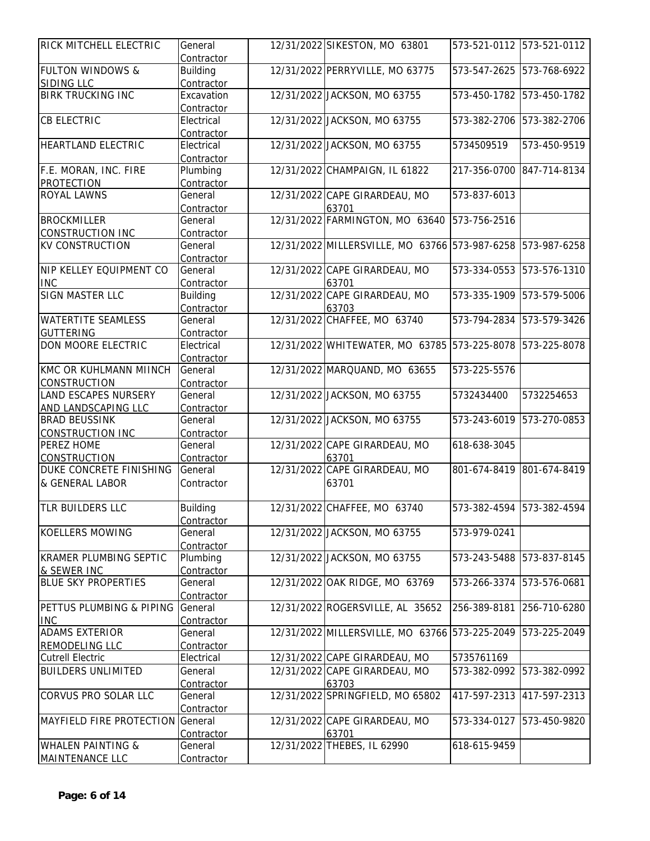| <b>RICK MITCHELL ELECTRIC</b>             | General<br>Contractor | 12/31/2022 SIKESTON, MO 63801                  |              | 573-521-0112 573-521-0112 |
|-------------------------------------------|-----------------------|------------------------------------------------|--------------|---------------------------|
| <b>FULTON WINDOWS &amp;</b>               | <b>Building</b>       | 12/31/2022 PERRYVILLE, MO 63775                | 573-547-2625 | 573-768-6922              |
| SIDING LLC                                | Contractor            |                                                |              |                           |
| <b>BIRK TRUCKING INC</b>                  | Excavation            | 12/31/2022 JACKSON, MO 63755                   | 573-450-1782 | 573-450-1782              |
|                                           | Contractor            |                                                |              |                           |
| <b>CB ELECTRIC</b>                        | Electrical            | 12/31/2022 JACKSON, MO 63755                   | 573-382-2706 | 573-382-2706              |
|                                           | Contractor            |                                                |              |                           |
| <b>HEARTLAND ELECTRIC</b>                 | Electrical            | 12/31/2022 JACKSON, MO 63755                   | 5734509519   | 573-450-9519              |
|                                           | Contractor            |                                                |              |                           |
| F.E. MORAN, INC. FIRE                     | Plumbing              | 12/31/2022 CHAMPAIGN, IL 61822                 | 217-356-0700 | 847-714-8134              |
| <b>PROTECTION</b>                         | Contractor            |                                                |              |                           |
| ROYAL LAWNS                               | General               | 12/31/2022 CAPE GIRARDEAU, MO                  | 573-837-6013 |                           |
|                                           | Contractor            | 63701                                          |              |                           |
| <b>BROCKMILLER</b>                        | General               | 12/31/2022 FARMINGTON, MO 63640                | 573-756-2516 |                           |
| <b>CONSTRUCTION INC</b>                   | Contractor            |                                                |              | 573-987-6258              |
| <b>KV CONSTRUCTION</b>                    | General               | 12/31/2022 MILLERSVILLE, MO 63766 573-987-6258 |              |                           |
| NIP KELLEY EQUIPMENT CO                   | Contractor<br>General | 12/31/2022 CAPE GIRARDEAU, MO                  | 573-334-0553 | 573-576-1310              |
| <b>INC</b>                                | Contractor            | 63701                                          |              |                           |
| <b>SIGN MASTER LLC</b>                    | <b>Building</b>       | 12/31/2022 CAPE GIRARDEAU, MO                  | 573-335-1909 | 573-579-5006              |
|                                           | Contractor            | 63703                                          |              |                           |
| <b>WATERTITE SEAMLESS</b>                 | General               | 12/31/2022 CHAFFEE, MO 63740                   | 573-794-2834 | 573-579-3426              |
| <b>GUTTERING</b>                          | Contractor            |                                                |              |                           |
| DON MOORE ELECTRIC                        | Electrical            | 12/31/2022 WHITEWATER, MO 63785 573-225-8078   |              | 573-225-8078              |
|                                           | Contractor            |                                                |              |                           |
| KMC OR KUHLMANN MIINCH                    | General               | 12/31/2022 MARQUAND, MO 63655                  | 573-225-5576 |                           |
| <b>CONSTRUCTION</b>                       | Contractor            |                                                |              |                           |
| <b>LAND ESCAPES NURSERY</b>               | General               | 12/31/2022 JACKSON, MO 63755                   | 5732434400   | 5732254653                |
| AND LANDSCAPING LLC                       | Contractor            |                                                |              |                           |
| <b>BRAD BEUSSINK</b>                      | General               | 12/31/2022 JACKSON, MO 63755                   | 573-243-6019 | 573-270-0853              |
| <b>CONSTRUCTION INC</b>                   | Contractor            |                                                |              |                           |
| <b>PEREZ HOME</b>                         | General               | 12/31/2022 CAPE GIRARDEAU, MO                  | 618-638-3045 |                           |
| <b>CONSTRUCTION</b>                       | Contractor            | 63701                                          |              |                           |
| DUKE CONCRETE FINISHING                   | General               | 12/31/2022 CAPE GIRARDEAU, MO                  | 801-674-8419 | 801-674-8419              |
| & GENERAL LABOR                           | Contractor            | 63701                                          |              |                           |
|                                           |                       |                                                |              |                           |
| <b>TLR BUILDERS LLC</b>                   | <b>Building</b>       | 12/31/2022 CHAFFEE, MO 63740                   |              | 573-382-4594 573-382-4594 |
|                                           | Contractor            |                                                |              |                           |
| <b>KOELLERS MOWING</b>                    | General               | 12/31/2022 JACKSON, MO 63755                   | 573-979-0241 |                           |
|                                           | Contractor            |                                                |              |                           |
| <b>KRAMER PLUMBING SEPTIC</b>             | Plumbing              | 12/31/2022 JACKSON, MO 63755                   | 573-243-5488 | 573-837-8145              |
| & SEWER INC<br><b>BLUE SKY PROPERTIES</b> | Contractor<br>General | 12/31/2022 OAK RIDGE, MO 63769                 | 573-266-3374 | 573-576-0681              |
|                                           |                       |                                                |              |                           |
| PETTUS PLUMBING & PIPING                  | Contractor<br>General | 12/31/2022 ROGERSVILLE, AL 35652               | 256-389-8181 | 256-710-6280              |
| <b>INC</b>                                | Contractor            |                                                |              |                           |
| <b>ADAMS EXTERIOR</b>                     | General               | 12/31/2022 MILLERSVILLE, MO 63766 573-225-2049 |              | 573-225-2049              |
| REMODELING LLC                            | Contractor            |                                                |              |                           |
| <b>Cutrell Electric</b>                   | Electrical            | 12/31/2022 CAPE GIRARDEAU, MO                  | 5735761169   |                           |
| <b>BUILDERS UNLIMITED</b>                 | General               | 12/31/2022 CAPE GIRARDEAU, MO                  | 573-382-0992 | 573-382-0992              |
|                                           | Contractor            | 63703                                          |              |                           |
| CORVUS PRO SOLAR LLC                      | General               | 12/31/2022 SPRINGFIELD, MO 65802               | 417-597-2313 | 417-597-2313              |
|                                           | Contractor            |                                                |              |                           |
| <b>MAYFIELD FIRE PROTECTION</b>           | General               | 12/31/2022 CAPE GIRARDEAU, MO                  | 573-334-0127 | 573-450-9820              |
|                                           | Contractor            | 63701                                          |              |                           |
| <b>WHALEN PAINTING &amp;</b>              | General               | 12/31/2022 THEBES, IL 62990                    | 618-615-9459 |                           |
| <b>MAINTENANCE LLC</b>                    | Contractor            |                                                |              |                           |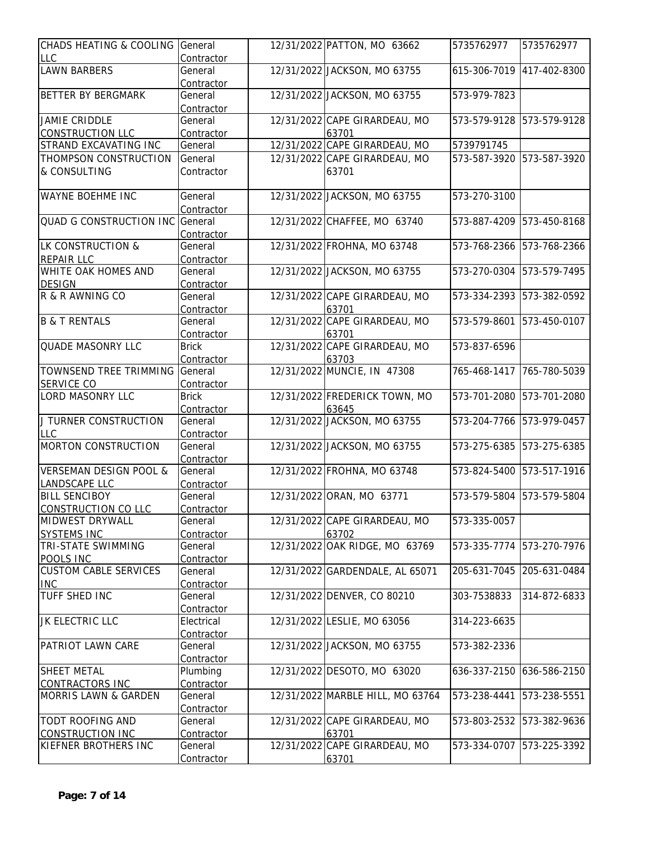| <b>CHADS HEATING &amp; COOLING</b><br><b>LLC</b> | General<br>Contractor | 12/31/2022 PATTON, MO 63662      | 5735762977   | 5735762977   |
|--------------------------------------------------|-----------------------|----------------------------------|--------------|--------------|
| <b>LAWN BARBERS</b>                              | General               | 12/31/2022 JACKSON, MO 63755     | 615-306-7019 | 417-402-8300 |
|                                                  | Contractor            |                                  |              |              |
| BETTER BY BERGMARK                               | General               | 12/31/2022 JACKSON, MO 63755     | 573-979-7823 |              |
|                                                  | Contractor            |                                  |              |              |
| <b>JAMIE CRIDDLE</b>                             | General               | 12/31/2022 CAPE GIRARDEAU, MO    | 573-579-9128 | 573-579-9128 |
| CONSTRUCTION LLC                                 | Contractor            | 63701                            |              |              |
| STRAND EXCAVATING INC                            | General               | 12/31/2022 CAPE GIRARDEAU, MO    | 5739791745   |              |
| THOMPSON CONSTRUCTION                            | General               | 12/31/2022 CAPE GIRARDEAU, MO    | 573-587-3920 | 573-587-3920 |
| & CONSULTING                                     | Contractor            | 63701                            |              |              |
| WAYNE BOEHME INC                                 | General               | 12/31/2022 JACKSON, MO 63755     | 573-270-3100 |              |
|                                                  | Contractor            |                                  |              |              |
| QUAD G CONSTRUCTION INC                          | General               | 12/31/2022 CHAFFEE, MO 63740     | 573-887-4209 | 573-450-8168 |
|                                                  | Contractor            |                                  |              |              |
| LK CONSTRUCTION &                                | General               | 12/31/2022 FROHNA, MO 63748      | 573-768-2366 | 573-768-2366 |
| <b>REPAIR LLC</b>                                | Contractor            |                                  |              |              |
| WHITE OAK HOMES AND                              | General               | 12/31/2022 JACKSON, MO 63755     | 573-270-0304 | 573-579-7495 |
| <b>DESIGN</b>                                    | Contractor            |                                  |              |              |
| R & R AWNING CO                                  | General               | 12/31/2022 CAPE GIRARDEAU, MO    | 573-334-2393 | 573-382-0592 |
|                                                  | Contractor            | 63701                            |              |              |
| <b>B &amp; T RENTALS</b>                         | General               | 12/31/2022 CAPE GIRARDEAU, MO    | 573-579-8601 | 573-450-0107 |
|                                                  | Contractor            | 63701                            |              |              |
| <b>QUADE MASONRY LLC</b>                         | <b>Brick</b>          | 12/31/2022 CAPE GIRARDEAU, MO    | 573-837-6596 |              |
|                                                  | Contractor            | 63703                            |              |              |
| TOWNSEND TREE TRIMMING                           | General               | 12/31/2022 MUNCIE, IN 47308      | 765-468-1417 | 765-780-5039 |
| <b>SERVICE CO</b>                                | Contractor            |                                  |              |              |
| LORD MASONRY LLC                                 | <b>Brick</b>          | 12/31/2022 FREDERICK TOWN, MO    | 573-701-2080 | 573-701-2080 |
|                                                  | Contractor            | 63645                            |              |              |
| J TURNER CONSTRUCTION                            | General               | 12/31/2022 JACKSON, MO 63755     | 573-204-7766 | 573-979-0457 |
| <b>LLC</b>                                       | Contractor            |                                  |              |              |
| MORTON CONSTRUCTION                              | General<br>Contractor | 12/31/2022 JACKSON, MO 63755     | 573-275-6385 | 573-275-6385 |
| <b>VERSEMAN DESIGN POOL &amp;</b>                | General               | 12/31/2022 FROHNA, MO 63748      | 573-824-5400 | 573-517-1916 |
| LANDSCAPE LLC                                    | Contractor            |                                  |              |              |
| <b>BILL SENCIBOY</b>                             | General               | 12/31/2022 ORAN, MO 63771        | 573-579-5804 | 573-579-5804 |
| <b>CONSTRUCTION CO LLC</b>                       | Contractor            |                                  |              |              |
| <b>MIDWEST DRYWALL</b>                           | General               | 12/31/2022 CAPE GIRARDEAU, MO    | 573-335-0057 |              |
| <b>SYSTEMS INC</b>                               | Contractor            | 63702                            |              |              |
| TRI-STATE SWIMMING                               | General               | 12/31/2022 OAK RIDGE, MO 63769   | 573-335-7774 | 573-270-7976 |
| POOLS INC                                        | Contractor            |                                  |              |              |
| <b>CUSTOM CABLE SERVICES</b>                     | General               | 12/31/2022 GARDENDALE, AL 65071  | 205-631-7045 | 205-631-0484 |
| <b>INC</b>                                       | Contractor            |                                  |              |              |
| TUFF SHED INC                                    | General               | 12/31/2022 DENVER, CO 80210      | 303-7538833  | 314-872-6833 |
|                                                  | Contractor            |                                  |              |              |
| JK ELECTRIC LLC                                  | Electrical            | 12/31/2022 LESLIE, MO 63056      | 314-223-6635 |              |
|                                                  | Contractor            |                                  |              |              |
| PATRIOT LAWN CARE                                | General               | 12/31/2022 JACKSON, MO 63755     | 573-382-2336 |              |
|                                                  | Contractor            |                                  |              |              |
| SHEET METAL                                      | Plumbing              | 12/31/2022 DESOTO, MO 63020      | 636-337-2150 | 636-586-2150 |
| <b>CONTRACTORS INC</b>                           | Contractor            |                                  |              |              |
| <b>MORRIS LAWN &amp; GARDEN</b>                  | General               | 12/31/2022 MARBLE HILL, MO 63764 | 573-238-4441 | 573-238-5551 |
|                                                  | Contractor            |                                  |              |              |
| TODT ROOFING AND                                 | General               | 12/31/2022 CAPE GIRARDEAU, MO    | 573-803-2532 | 573-382-9636 |
| <b>CONSTRUCTION INC</b>                          | Contractor            | 63701                            |              |              |
| KIEFNER BROTHERS INC                             | General               | 12/31/2022 CAPE GIRARDEAU, MO    | 573-334-0707 | 573-225-3392 |
|                                                  | Contractor            | 63701                            |              |              |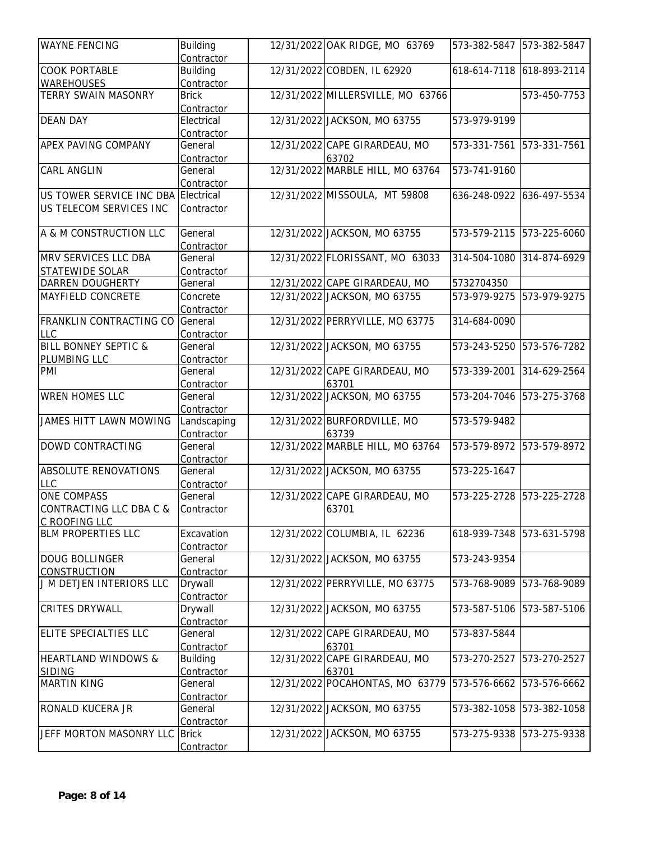| <b>WAYNE FENCING</b>                | <b>Building</b><br>Contractor | 12/31/2022 OAK RIDGE, MO 63769         | 573-382-5847 | 573-382-5847              |
|-------------------------------------|-------------------------------|----------------------------------------|--------------|---------------------------|
| <b>COOK PORTABLE</b>                | <b>Building</b>               | 12/31/2022 COBDEN, IL 62920            | 618-614-7118 | 618-893-2114              |
| <b>WAREHOUSES</b>                   | Contractor                    |                                        |              |                           |
| <b>TERRY SWAIN MASONRY</b>          | <b>Brick</b><br>Contractor    | 12/31/2022 MILLERSVILLE, MO 63766      |              | 573-450-7753              |
| <b>DEAN DAY</b>                     | Electrical                    | 12/31/2022 JACKSON, MO 63755           | 573-979-9199 |                           |
|                                     | Contractor                    |                                        |              |                           |
| APEX PAVING COMPANY                 | General                       | 12/31/2022 CAPE GIRARDEAU, MO          | 573-331-7561 | 573-331-7561              |
|                                     | Contractor                    | 63702                                  |              |                           |
| <b>CARL ANGLIN</b>                  | General                       | 12/31/2022 MARBLE HILL, MO 63764       | 573-741-9160 |                           |
|                                     | Contractor                    |                                        |              |                           |
| US TOWER SERVICE INC DBA Electrical |                               | 12/31/2022 MISSOULA, MT 59808          |              | 636-248-0922 636-497-5534 |
| US TELECOM SERVICES INC             | Contractor                    |                                        |              |                           |
| A & M CONSTRUCTION LLC              | General                       | 12/31/2022 JACKSON, MO 63755           | 573-579-2115 | 573-225-6060              |
|                                     | Contractor                    |                                        |              |                           |
| MRV SERVICES LLC DBA                | General                       | 12/31/2022 FLORISSANT, MO 63033        | 314-504-1080 | 314-874-6929              |
| <b>STATEWIDE SOLAR</b>              | Contractor                    |                                        |              |                           |
| <b>DARREN DOUGHERTY</b>             | General                       | 12/31/2022 CAPE GIRARDEAU, MO          | 5732704350   |                           |
| <b>MAYFIELD CONCRETE</b>            | Concrete                      | 12/31/2022 JACKSON, MO 63755           | 573-979-9275 | 573-979-9275              |
|                                     | Contractor                    |                                        |              |                           |
| FRANKLIN CONTRACTING CO             | General                       | 12/31/2022 PERRYVILLE, MO 63775        | 314-684-0090 |                           |
| <b>LLC</b>                          | Contractor                    |                                        |              |                           |
| <b>BILL BONNEY SEPTIC &amp;</b>     | General                       | 12/31/2022 JACKSON, MO 63755           | 573-243-5250 | 573-576-7282              |
| PLUMBING LLC<br>PMI                 | Contractor                    | 12/31/2022 CAPE GIRARDEAU, MO          |              | 314-629-2564              |
|                                     | General                       | 63701                                  | 573-339-2001 |                           |
| <b>WREN HOMES LLC</b>               | Contractor<br>General         | 12/31/2022 JACKSON, MO 63755           | 573-204-7046 | 573-275-3768              |
|                                     | Contractor                    |                                        |              |                           |
| JAMES HITT LAWN MOWING              | Landscaping                   | 12/31/2022 BURFORDVILLE, MO            | 573-579-9482 |                           |
|                                     | Contractor                    | 63739                                  |              |                           |
| DOWD CONTRACTING                    | General                       | 12/31/2022 MARBLE HILL, MO 63764       | 573-579-8972 | 573-579-8972              |
|                                     | Contractor                    |                                        |              |                           |
| <b>ABSOLUTE RENOVATIONS</b>         | General                       | 12/31/2022 JACKSON, MO 63755           | 573-225-1647 |                           |
| <b>LLC</b>                          | Contractor                    |                                        |              |                           |
| ONE COMPASS                         | General                       | 12/31/2022 CAPE GIRARDEAU, MO          | 573-225-2728 | 573-225-2728              |
| CONTRACTING LLC DBA C &             | Contractor                    | 63701                                  |              |                           |
| C ROOFING LLC                       |                               |                                        |              |                           |
| <b>BLM PROPERTIES LLC</b>           | Excavation                    | 12/31/2022 COLUMBIA, IL 62236          | 618-939-7348 | 573-631-5798              |
|                                     | Contractor                    |                                        |              |                           |
| <b>DOUG BOLLINGER</b>               | General                       | 12/31/2022 JACKSON, MO 63755           | 573-243-9354 |                           |
| <b>CONSTRUCTION</b>                 | Contractor                    |                                        |              |                           |
| <b>J M DETJEN INTERIORS LLC</b>     | Drywall                       | 12/31/2022 PERRYVILLE, MO 63775        | 573-768-9089 | 573-768-9089              |
|                                     | Contractor                    |                                        |              |                           |
| <b>CRITES DRYWALL</b>               | Drywall                       | 12/31/2022 JACKSON, MO 63755           | 573-587-5106 | 573-587-5106              |
|                                     | Contractor                    |                                        |              |                           |
| ELITE SPECIALTIES LLC               | General                       | 12/31/2022 CAPE GIRARDEAU, MO          | 573-837-5844 |                           |
| <b>HEARTLAND WINDOWS &amp;</b>      | Contractor<br><b>Building</b> | 63701<br>12/31/2022 CAPE GIRARDEAU, MO | 573-270-2527 | 573-270-2527              |
| <b>SIDING</b>                       | Contractor                    | 63701                                  |              |                           |
| <b>MARTIN KING</b>                  | General                       | 12/31/2022 POCAHONTAS, MO 63779        | 573-576-6662 | 573-576-6662              |
|                                     | Contractor                    |                                        |              |                           |
| RONALD KUCERA JR                    | General                       | 12/31/2022 JACKSON, MO 63755           | 573-382-1058 | 573-382-1058              |
|                                     | Contractor                    |                                        |              |                           |
| JEFF MORTON MASONRY LLC             | <b>Brick</b>                  | 12/31/2022 JACKSON, MO 63755           | 573-275-9338 | 573-275-9338              |
|                                     | Contractor                    |                                        |              |                           |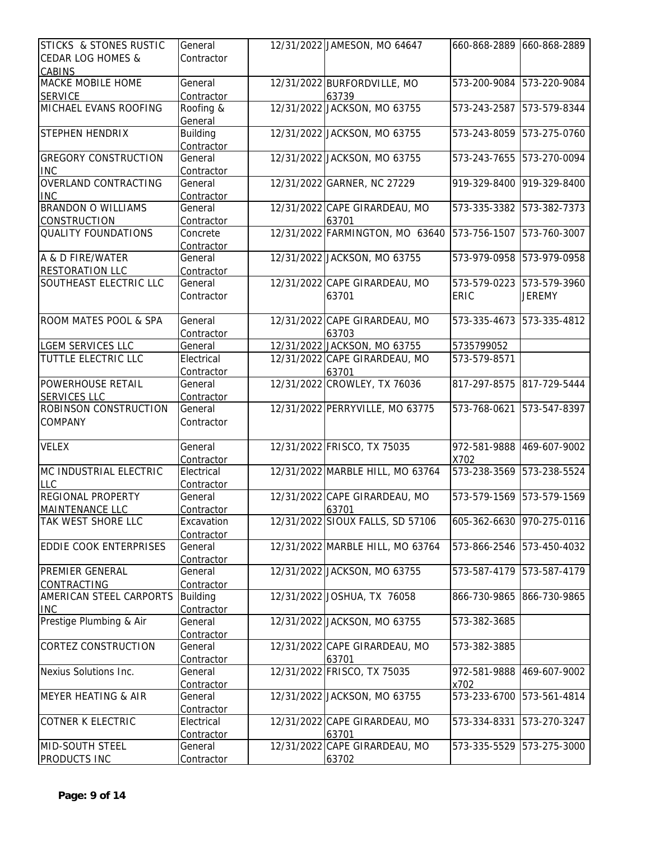| STICKS & STONES RUSTIC           | General         | 12/31/2022 JAMESON, MO 64647     | 660-868-2889 | 660-868-2889  |
|----------------------------------|-----------------|----------------------------------|--------------|---------------|
| <b>CEDAR LOG HOMES &amp;</b>     | Contractor      |                                  |              |               |
| <b>CABINS</b>                    |                 |                                  |              |               |
| <b>MACKE MOBILE HOME</b>         | General         | 12/31/2022 BURFORDVILLE, MO      | 573-200-9084 | 573-220-9084  |
|                                  |                 |                                  |              |               |
| <b>SERVICE</b>                   | Contractor      | 63739                            |              |               |
| MICHAEL EVANS ROOFING            | Roofing &       | 12/31/2022 JACKSON, MO 63755     | 573-243-2587 | 573-579-8344  |
|                                  | General         |                                  |              |               |
| STEPHEN HENDRIX                  | <b>Building</b> | 12/31/2022 JACKSON, MO 63755     | 573-243-8059 | 573-275-0760  |
|                                  | Contractor      |                                  |              |               |
| <b>GREGORY CONSTRUCTION</b>      | General         | 12/31/2022 JACKSON, MO 63755     | 573-243-7655 | 573-270-0094  |
| <b>INC</b>                       | Contractor      |                                  |              |               |
| OVERLAND CONTRACTING             | General         | 12/31/2022 GARNER, NC 27229      | 919-329-8400 | 919-329-8400  |
| <b>INC</b>                       | Contractor      |                                  |              |               |
| <b>BRANDON O WILLIAMS</b>        | General         | 12/31/2022 CAPE GIRARDEAU, MO    | 573-335-3382 | 573-382-7373  |
| <b>CONSTRUCTION</b>              | Contractor      | 63701                            |              |               |
| QUALITY FOUNDATIONS              | Concrete        | 12/31/2022 FARMINGTON, MO 63640  | 573-756-1507 | 573-760-3007  |
|                                  | Contractor      |                                  |              |               |
| A & D FIRE/WATER                 | General         | 12/31/2022 JACKSON, MO 63755     | 573-979-0958 | 573-979-0958  |
| <b>RESTORATION LLC</b>           | Contractor      |                                  |              |               |
| SOUTHEAST ELECTRIC LLC           | General         | 12/31/2022 CAPE GIRARDEAU, MO    | 573-579-0223 | 573-579-3960  |
|                                  |                 |                                  |              |               |
|                                  | Contractor      | 63701                            | ERIC         | <b>JEREMY</b> |
|                                  |                 |                                  |              |               |
| <b>ROOM MATES POOL &amp; SPA</b> | General         | 12/31/2022 CAPE GIRARDEAU, MO    | 573-335-4673 | 573-335-4812  |
|                                  | Contractor      | 63703                            |              |               |
| <b>LGEM SERVICES LLC</b>         | General         | 12/31/2022 JACKSON, MO 63755     | 5735799052   |               |
| TUTTLE ELECTRIC LLC              | Electrical      | 12/31/2022 CAPE GIRARDEAU, MO    | 573-579-8571 |               |
|                                  | Contractor      | 63701                            |              |               |
| POWERHOUSE RETAIL                | General         | 12/31/2022 CROWLEY, TX 76036     | 817-297-8575 | 817-729-5444  |
| <b>SERVICES LLC</b>              | Contractor      |                                  |              |               |
| ROBINSON CONSTRUCTION            | General         | 12/31/2022 PERRYVILLE, MO 63775  | 573-768-0621 | 573-547-8397  |
| COMPANY                          | Contractor      |                                  |              |               |
|                                  |                 |                                  |              |               |
| <b>VELEX</b>                     | General         | 12/31/2022 FRISCO, TX 75035      | 972-581-9888 | 469-607-9002  |
|                                  |                 |                                  | X702         |               |
|                                  | Contractor      | 12/31/2022 MARBLE HILL, MO 63764 |              |               |
| MC INDUSTRIAL ELECTRIC           | Electrical      |                                  | 573-238-3569 | 573-238-5524  |
| <b>LLC</b>                       | Contractor      |                                  |              |               |
| <b>REGIONAL PROPERTY</b>         | General         | 12/31/2022 CAPE GIRARDEAU, MO    | 573-579-1569 | 573-579-1569  |
| <b>MAINTENANCE LLC</b>           | Contractor      | 63701                            |              |               |
| TAK WEST SHORE LLC               | Excavation      | 12/31/2022 SIOUX FALLS, SD 57106 | 605-362-6630 | 970-275-0116  |
|                                  | Contractor      |                                  |              |               |
| <b>EDDIE COOK ENTERPRISES</b>    | General         | 12/31/2022 MARBLE HILL, MO 63764 | 573-866-2546 | 573-450-4032  |
|                                  | Contractor      |                                  |              |               |
| PREMIER GENERAL                  | General         | 12/31/2022 JACKSON, MO 63755     | 573-587-4179 | 573-587-4179  |
| CONTRACTING                      | Contractor      |                                  |              |               |
| AMERICAN STEEL CARPORTS          | <b>Building</b> | 12/31/2022 JOSHUA, TX 76058      | 866-730-9865 | 866-730-9865  |
| <b>INC</b>                       | Contractor      |                                  |              |               |
| Prestige Plumbing & Air          | General         | 12/31/2022 JACKSON, MO 63755     | 573-382-3685 |               |
|                                  | Contractor      |                                  |              |               |
| <b>CORTEZ CONSTRUCTION</b>       | General         | 12/31/2022 CAPE GIRARDEAU, MO    | 573-382-3885 |               |
|                                  |                 |                                  |              |               |
|                                  | Contractor      | 63701                            |              |               |
| Nexius Solutions Inc.            | General         | 12/31/2022 FRISCO, TX 75035      | 972-581-9888 | 469-607-9002  |
|                                  | Contractor      |                                  | x702         |               |
| <b>MEYER HEATING &amp; AIR</b>   | General         | 12/31/2022 JACKSON, MO 63755     | 573-233-6700 | 573-561-4814  |
|                                  | Contractor      |                                  |              |               |
| <b>COTNER K ELECTRIC</b>         | Electrical      | 12/31/2022 CAPE GIRARDEAU, MO    | 573-334-8331 | 573-270-3247  |
|                                  | Contractor      | 63701                            |              |               |
| MID-SOUTH STEEL                  | General         | 12/31/2022 CAPE GIRARDEAU, MO    | 573-335-5529 | 573-275-3000  |
| <b>PRODUCTS INC</b>              | Contractor      | 63702                            |              |               |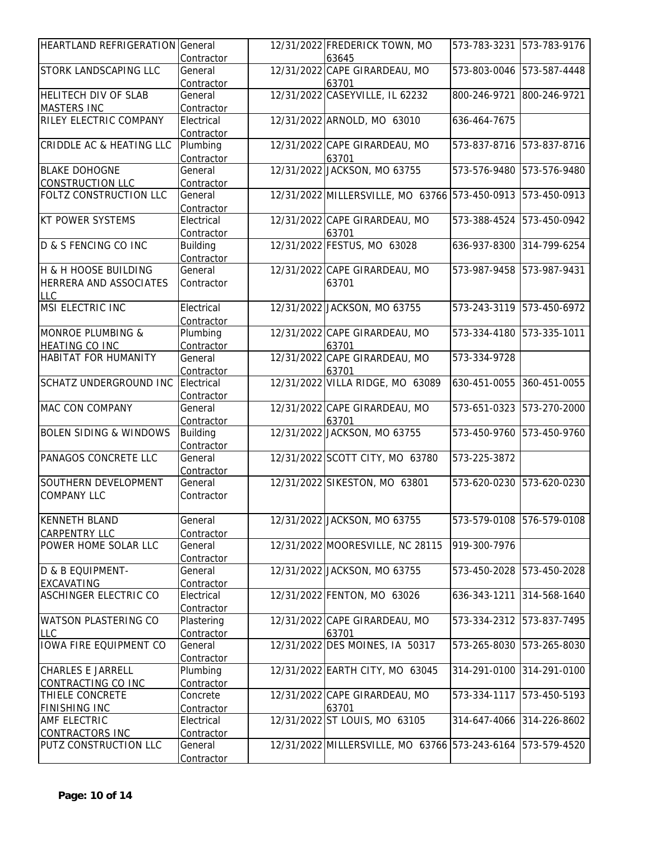| <b>HEARTLAND REFRIGERATION General</b>            | Contractor                    | 12/31/2022 FREDERICK TOWN, MO<br>63645         | 573-783-3231 | 573-783-9176              |
|---------------------------------------------------|-------------------------------|------------------------------------------------|--------------|---------------------------|
| STORK LANDSCAPING LLC                             | General<br>Contractor         | 12/31/2022 CAPE GIRARDEAU, MO<br>63701         | 573-803-0046 | 573-587-4448              |
| <b>HELITECH DIV OF SLAB</b>                       | General                       | 12/31/2022 CASEYVILLE, IL 62232                | 800-246-9721 | 800-246-9721              |
| MASTERS INC                                       | Contractor                    |                                                |              |                           |
| RILEY ELECTRIC COMPANY                            | Electrical<br>Contractor      | 12/31/2022 ARNOLD, MO 63010                    | 636-464-7675 |                           |
| <b>CRIDDLE AC &amp; HEATING LLC</b>               | Plumbing                      | 12/31/2022 CAPE GIRARDEAU, MO                  | 573-837-8716 | 573-837-8716              |
|                                                   | Contractor                    | 63701<br>12/31/2022 JACKSON, MO 63755          |              |                           |
| <b>BLAKE DOHOGNE</b><br><b>CONSTRUCTION LLC</b>   | General<br>Contractor         |                                                | 573-576-9480 | 573-576-9480              |
| FOLTZ CONSTRUCTION LLC                            | General<br>Contractor         | 12/31/2022 MILLERSVILLE, MO 63766 573-450-0913 |              | 573-450-0913              |
| <b>KT POWER SYSTEMS</b>                           | Electrical                    | 12/31/2022 CAPE GIRARDEAU, MO                  | 573-388-4524 | 573-450-0942              |
|                                                   | Contractor                    | 63701                                          |              |                           |
| D & S FENCING CO INC                              | <b>Building</b><br>Contractor | 12/31/2022 FESTUS, MO 63028                    | 636-937-8300 | 314-799-6254              |
| H & H HOOSE BUILDING                              | General                       | 12/31/2022 CAPE GIRARDEAU, MO                  | 573-987-9458 | 573-987-9431              |
| HERRERA AND ASSOCIATES<br><b>LLC</b>              | Contractor                    | 63701                                          |              |                           |
| MSI ELECTRIC INC                                  | Electrical<br>Contractor      | 12/31/2022 JACKSON, MO 63755                   | 573-243-3119 | 573-450-6972              |
| <b>MONROE PLUMBING &amp;</b>                      | Plumbing                      | 12/31/2022 CAPE GIRARDEAU, MO                  | 573-334-4180 | 573-335-1011              |
| HEATING CO INC                                    | Contractor                    | 63701                                          |              |                           |
| <b>HABITAT FOR HUMANITY</b>                       | General                       | 12/31/2022 CAPE GIRARDEAU, MO                  | 573-334-9728 |                           |
|                                                   | Contractor                    | 63701                                          |              |                           |
| <b>SCHATZ UNDERGROUND INC</b>                     | Electrical<br>Contractor      | 12/31/2022 VILLA RIDGE, MO 63089               | 630-451-0055 | 360-451-0055              |
| MAC CON COMPANY                                   | General<br>Contractor         | 12/31/2022 CAPE GIRARDEAU, MO<br>63701         | 573-651-0323 | 573-270-2000              |
| <b>BOLEN SIDING &amp; WINDOWS</b>                 | <b>Building</b><br>Contractor | 12/31/2022 JACKSON, MO 63755                   | 573-450-9760 | 573-450-9760              |
| PANAGOS CONCRETE LLC                              | General<br>Contractor         | 12/31/2022 SCOTT CITY, MO 63780                | 573-225-3872 |                           |
| SOUTHERN DEVELOPMENT<br><b>COMPANY LLC</b>        | General<br>Contractor         | 12/31/2022 SIKESTON, MO 63801                  | 573-620-0230 | 573-620-0230              |
|                                                   |                               |                                                |              |                           |
| <b>KENNETH BLAND</b>                              | General                       | 12/31/2022 JACKSON, MO 63755                   |              | 573-579-0108 576-579-0108 |
| <b>CARPENTRY LLC</b>                              | Contractor                    |                                                |              |                           |
| POWER HOME SOLAR LLC                              | General<br>Contractor         | 12/31/2022 MOORESVILLE, NC 28115               | 919-300-7976 |                           |
| <b>D &amp; B EQUIPMENT-</b>                       | General                       | 12/31/2022 JACKSON, MO 63755                   | 573-450-2028 | 573-450-2028              |
| <b>EXCAVATING</b><br><b>ASCHINGER ELECTRIC CO</b> | Contractor<br>Electrical      | 12/31/2022 FENTON, MO 63026                    | 636-343-1211 | 314-568-1640              |
|                                                   | Contractor                    |                                                |              |                           |
| <b>WATSON PLASTERING CO</b><br><b>LLC</b>         | Plastering<br>Contractor      | 12/31/2022 CAPE GIRARDEAU, MO<br>63701         | 573-334-2312 | 573-837-7495              |
| <b>IOWA FIRE EQUIPMENT CO</b>                     | General                       | 12/31/2022 DES MOINES, IA 50317                | 573-265-8030 | 573-265-8030              |
| CHARLES E JARRELL                                 | Contractor<br>Plumbing        | 12/31/2022 EARTH CITY, MO 63045                | 314-291-0100 | 314-291-0100              |
| CONTRACTING CO INC                                | Contractor                    |                                                |              |                           |
| THIELE CONCRETE                                   | Concrete                      | 12/31/2022 CAPE GIRARDEAU, MO                  | 573-334-1117 | 573-450-5193              |
| <b>FINISHING INC</b>                              | Contractor                    | 63701                                          |              |                           |
| AMF ELECTRIC                                      | Electrical                    | 12/31/2022 ST LOUIS, MO 63105                  | 314-647-4066 | 314-226-8602              |
| <b>CONTRACTORS INC</b>                            | Contractor                    |                                                |              |                           |
| PUTZ CONSTRUCTION LLC                             | General                       | 12/31/2022 MILLERSVILLE, MO 63766 573-243-6164 |              | 573-579-4520              |
|                                                   | Contractor                    |                                                |              |                           |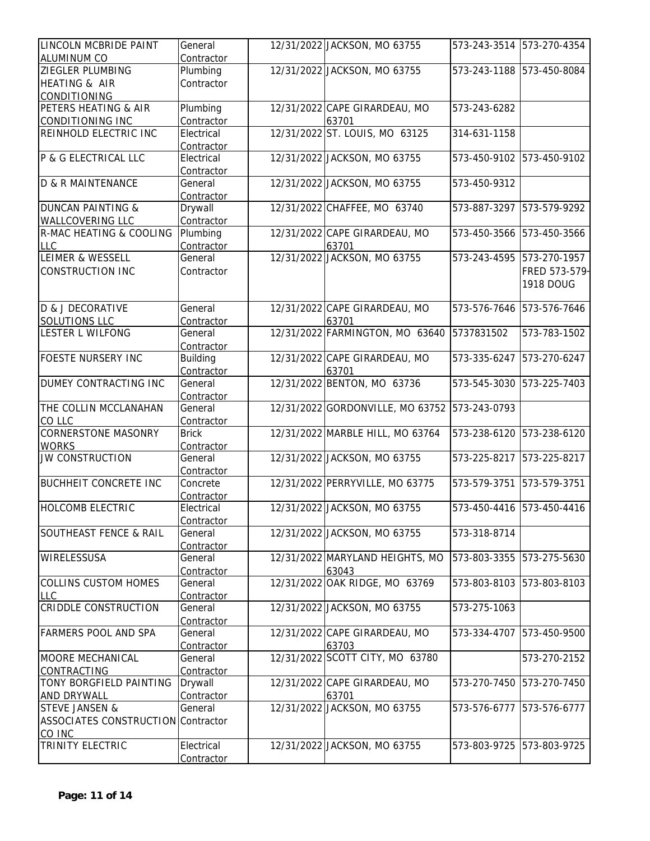| LINCOLN MCBRIDE PAINT<br><b>ALUMINUM CO</b> | General<br>Contractor | 12/31/2022 JACKSON, MO 63755     |              | 573-243-3514 573-270-4354 |
|---------------------------------------------|-----------------------|----------------------------------|--------------|---------------------------|
| ZIEGLER PLUMBING                            | Plumbing              | 12/31/2022 JACKSON, MO 63755     | 573-243-1188 | 573-450-8084              |
| <b>HEATING &amp; AIR</b>                    | Contractor            |                                  |              |                           |
| <b>CONDITIONING</b>                         |                       |                                  |              |                           |
| PETERS HEATING & AIR                        | Plumbing              | 12/31/2022 CAPE GIRARDEAU, MO    | 573-243-6282 |                           |
| CONDITIONING INC                            | Contractor            | 63701                            |              |                           |
| REINHOLD ELECTRIC INC                       | Electrical            | 12/31/2022 ST. LOUIS, MO 63125   | 314-631-1158 |                           |
|                                             | Contractor            |                                  |              |                           |
| P & G ELECTRICAL LLC                        | Electrical            | 12/31/2022 JACKSON, MO 63755     |              | 573-450-9102 573-450-9102 |
|                                             |                       |                                  |              |                           |
| <b>D &amp; R MAINTENANCE</b>                | Contractor<br>General | 12/31/2022 JACKSON, MO 63755     | 573-450-9312 |                           |
|                                             |                       |                                  |              |                           |
|                                             | Contractor            |                                  |              |                           |
| <b>DUNCAN PAINTING &amp;</b>                | Drywall               | 12/31/2022 CHAFFEE, MO 63740     | 573-887-3297 | 573-579-9292              |
| <b>WALLCOVERING LLC</b>                     | Contractor            |                                  |              |                           |
| R-MAC HEATING & COOLING                     | Plumbing              | 12/31/2022 CAPE GIRARDEAU, MO    | 573-450-3566 | 573-450-3566              |
| <b>LLC</b>                                  | Contractor            | 63701                            |              |                           |
| LEIMER & WESSELL                            | General               | 12/31/2022 JACKSON, MO 63755     | 573-243-4595 | 573-270-1957              |
| CONSTRUCTION INC                            | Contractor            |                                  |              | FRED 573-579-             |
|                                             |                       |                                  |              | 1918 DOUG                 |
|                                             |                       |                                  |              |                           |
| D & J DECORATIVE                            | General               | 12/31/2022 CAPE GIRARDEAU, MO    | 573-576-7646 | 573-576-7646              |
| SOLUTIONS LLC                               | Contractor            | 63701                            |              |                           |
| <b>LESTER L WILFONG</b>                     | General               | 12/31/2022 FARMINGTON, MO 63640  | 5737831502   | 573-783-1502              |
|                                             | Contractor            |                                  |              |                           |
| <b>FOESTE NURSERY INC</b>                   | <b>Building</b>       | 12/31/2022 CAPE GIRARDEAU, MO    | 573-335-6247 | 573-270-6247              |
|                                             | Contractor            | 63701                            |              |                           |
| DUMEY CONTRACTING INC                       | General               | 12/31/2022 BENTON, MO 63736      | 573-545-3030 | 573-225-7403              |
|                                             | Contractor            |                                  |              |                           |
| THE COLLIN MCCLANAHAN                       | General               | 12/31/2022 GORDONVILLE, MO 63752 | 573-243-0793 |                           |
| CO LLC                                      | Contractor            |                                  |              |                           |
| <b>CORNERSTONE MASONRY</b>                  | <b>Brick</b>          | 12/31/2022 MARBLE HILL, MO 63764 | 573-238-6120 | 573-238-6120              |
| <b>WORKS</b>                                | Contractor            |                                  |              |                           |
| JW CONSTRUCTION                             | General               | 12/31/2022 JACKSON, MO 63755     | 573-225-8217 | 573-225-8217              |
|                                             | Contractor            |                                  |              |                           |
| <b>BUCHHEIT CONCRETE INC</b>                | Concrete              | 12/31/2022 PERRYVILLE, MO 63775  | 573-579-3751 | 573-579-3751              |
|                                             | Contractor            |                                  |              |                           |
| <b>HOLCOMB ELECTRIC</b>                     | Electrical            | 12/31/2022 JACKSON, MO 63755     |              | 573-450-4416 573-450-4416 |
|                                             | Contractor            |                                  |              |                           |
| <b>SOUTHEAST FENCE &amp; RAIL</b>           | General               | 12/31/2022 JACKSON, MO 63755     | 573-318-8714 |                           |
|                                             | Contractor            |                                  |              |                           |
| WIRELESSUSA                                 | General               | 12/31/2022 MARYLAND HEIGHTS, MO  | 573-803-3355 | 573-275-5630              |
|                                             | Contractor            | 63043                            |              |                           |
| <b>COLLINS CUSTOM HOMES</b>                 | General               | 12/31/2022 OAK RIDGE, MO 63769   | 573-803-8103 | 573-803-8103              |
| <b>LLC</b>                                  |                       |                                  |              |                           |
| <b>CRIDDLE CONSTRUCTION</b>                 | Contractor<br>General | 12/31/2022 JACKSON, MO 63755     | 573-275-1063 |                           |
|                                             |                       |                                  |              |                           |
| <b>FARMERS POOL AND SPA</b>                 | Contractor<br>General | 12/31/2022 CAPE GIRARDEAU, MO    | 573-334-4707 | 573-450-9500              |
|                                             |                       |                                  |              |                           |
|                                             | Contractor            | 63703                            |              |                           |
| <b>MOORE MECHANICAL</b>                     | General               | 12/31/2022 SCOTT CITY, MO 63780  |              | 573-270-2152              |
| CONTRACTING                                 | Contractor            |                                  |              |                           |
| TONY BORGFIELD PAINTING                     | Drywall               | 12/31/2022 CAPE GIRARDEAU, MO    | 573-270-7450 | 573-270-7450              |
| <b>AND DRYWALL</b>                          | Contractor            | 63701                            |              |                           |
| <b>STEVE JANSEN &amp;</b>                   | General               | 12/31/2022 JACKSON, MO 63755     | 573-576-6777 | 573-576-6777              |
| ASSOCIATES CONSTRUCTION Contractor          |                       |                                  |              |                           |
| CO INC                                      |                       |                                  |              |                           |
| TRINITY ELECTRIC                            | Electrical            | 12/31/2022 JACKSON, MO 63755     | 573-803-9725 | 573-803-9725              |
|                                             | Contractor            |                                  |              |                           |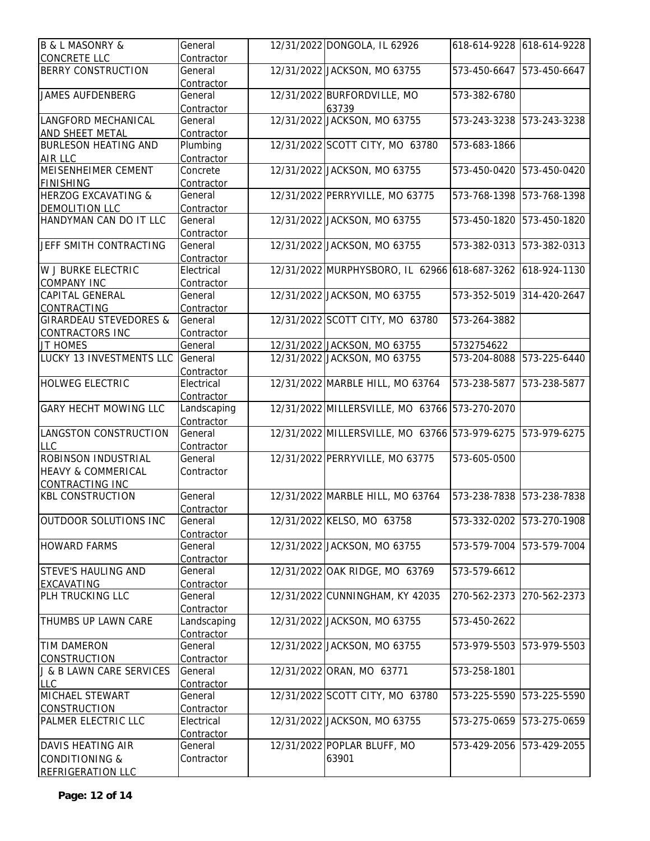| <b>B &amp; L MASONRY &amp;</b>            | General     | 12/31/2022 DONGOLA, IL 62926                   |              | 618-614-9228 618-614-9228 |
|-------------------------------------------|-------------|------------------------------------------------|--------------|---------------------------|
| <b>CONCRETE LLC</b>                       | Contractor  |                                                |              |                           |
| <b>BERRY CONSTRUCTION</b>                 | General     | 12/31/2022 JACKSON, MO 63755                   | 573-450-6647 | 573-450-6647              |
|                                           | Contractor  |                                                |              |                           |
| <b>JAMES AUFDENBERG</b>                   | General     | 12/31/2022 BURFORDVILLE, MO                    | 573-382-6780 |                           |
|                                           | Contractor  | 63739                                          |              |                           |
| LANGFORD MECHANICAL                       | General     | 12/31/2022 JACKSON, MO 63755                   | 573-243-3238 | 573-243-3238              |
| AND SHEET METAL                           | Contractor  |                                                |              |                           |
| <b>BURLESON HEATING AND</b>               | Plumbing    | 12/31/2022 SCOTT CITY, MO 63780                | 573-683-1866 |                           |
| <b>AIR LLC</b>                            | Contractor  |                                                |              |                           |
| MEISENHEIMER CEMENT                       | Concrete    | 12/31/2022 JACKSON, MO 63755                   | 573-450-0420 | 573-450-0420              |
| <b>FINISHING</b>                          | Contractor  |                                                |              |                           |
| <b>HERZOG EXCAVATING &amp;</b>            | General     | 12/31/2022 PERRYVILLE, MO 63775                | 573-768-1398 | 573-768-1398              |
| DEMOLITION LLC                            | Contractor  |                                                |              |                           |
| HANDYMAN CAN DO IT LLC                    | General     | 12/31/2022 JACKSON, MO 63755                   | 573-450-1820 | 573-450-1820              |
|                                           | Contractor  |                                                |              |                           |
| JEFF SMITH CONTRACTING                    | General     | 12/31/2022 JACKSON, MO 63755                   | 573-382-0313 | 573-382-0313              |
|                                           | Contractor  |                                                |              |                           |
| W J BURKE ELECTRIC                        | Electrical  | 12/31/2022 MURPHYSBORO, IL 62966 618-687-3262  |              | 618-924-1130              |
| <b>COMPANY INC</b>                        | Contractor  |                                                |              |                           |
| CAPITAL GENERAL                           | General     | 12/31/2022 JACKSON, MO 63755                   | 573-352-5019 | 314-420-2647              |
| CONTRACTING                               | Contractor  |                                                |              |                           |
| <b>GIRARDEAU STEVEDORES &amp;</b>         | General     | 12/31/2022 SCOTT CITY, MO 63780                | 573-264-3882 |                           |
|                                           |             |                                                |              |                           |
| <b>CONTRACTORS INC</b><br><b>JT HOMES</b> | Contractor  | 12/31/2022 JACKSON, MO 63755                   | 5732754622   |                           |
|                                           | General     |                                                |              |                           |
| LUCKY 13 INVESTMENTS LLC                  | General     | 12/31/2022 JACKSON, MO 63755                   | 573-204-8088 | 573-225-6440              |
|                                           | Contractor  |                                                |              |                           |
| <b>HOLWEG ELECTRIC</b>                    | Electrical  | 12/31/2022 MARBLE HILL, MO 63764               | 573-238-5877 | 573-238-5877              |
|                                           | Contractor  |                                                |              |                           |
| <b>GARY HECHT MOWING LLC</b>              | Landscaping | 12/31/2022 MILLERSVILLE, MO 63766 573-270-2070 |              |                           |
|                                           | Contractor  |                                                |              |                           |
| LANGSTON CONSTRUCTION                     | General     | 12/31/2022 MILLERSVILLE, MO 63766 573-979-6275 |              | 573-979-6275              |
| <b>LLC</b>                                | Contractor  |                                                |              |                           |
| ROBINSON INDUSTRIAL                       | General     | 12/31/2022 PERRYVILLE, MO 63775                | 573-605-0500 |                           |
| <b>HEAVY &amp; COMMERICAL</b>             | Contractor  |                                                |              |                           |
| CONTRACTING INC                           |             |                                                |              |                           |
| <b>KBL CONSTRUCTION</b>                   | General     | 12/31/2022 MARBLE HILL, MO 63764               | 573-238-7838 | 573-238-7838              |
|                                           | Contractor  |                                                |              |                           |
| OUTDOOR SOLUTIONS INC                     | General     | 12/31/2022 KELSO, MO 63758                     |              | 573-332-0202 573-270-1908 |
|                                           | Contractor  |                                                |              |                           |
| <b>HOWARD FARMS</b>                       | General     | 12/31/2022 JACKSON, MO 63755                   | 573-579-7004 | 573-579-7004              |
|                                           | Contractor  |                                                |              |                           |
| <b>STEVE'S HAULING AND</b>                | General     | 12/31/2022 OAK RIDGE, MO 63769                 | 573-579-6612 |                           |
| <b>EXCAVATING</b>                         | Contractor  |                                                |              |                           |
| PLH TRUCKING LLC                          | General     | 12/31/2022 CUNNINGHAM, KY 42035                | 270-562-2373 | 270-562-2373              |
|                                           | Contractor  |                                                |              |                           |
| THUMBS UP LAWN CARE                       | Landscaping | 12/31/2022 JACKSON, MO 63755                   | 573-450-2622 |                           |
|                                           | Contractor  |                                                |              |                           |
| <b>TIM DAMERON</b>                        | General     | 12/31/2022 JACKSON, MO 63755                   | 573-979-5503 | 573-979-5503              |
|                                           |             |                                                |              |                           |
| <b>CONSTRUCTION</b>                       | Contractor  |                                                |              |                           |
| <b>J &amp; B LAWN CARE SERVICES</b>       | General     | 12/31/2022 ORAN, MO 63771                      | 573-258-1801 |                           |
| <b>LLC</b>                                | Contractor  |                                                |              |                           |
| MICHAEL STEWART                           | General     | 12/31/2022 SCOTT CITY, MO 63780                | 573-225-5590 | 573-225-5590              |
| <b>CONSTRUCTION</b>                       | Contractor  |                                                |              |                           |
| PALMER ELECTRIC LLC                       | Electrical  | 12/31/2022 JACKSON, MO 63755                   | 573-275-0659 | 573-275-0659              |
|                                           | Contractor  |                                                |              |                           |
| DAVIS HEATING AIR                         | General     | 12/31/2022 POPLAR BLUFF, MO                    | 573-429-2056 | 573-429-2055              |
| <b>CONDITIONING &amp;</b>                 | Contractor  | 63901                                          |              |                           |
| <b>REFRIGERATION LLC</b>                  |             |                                                |              |                           |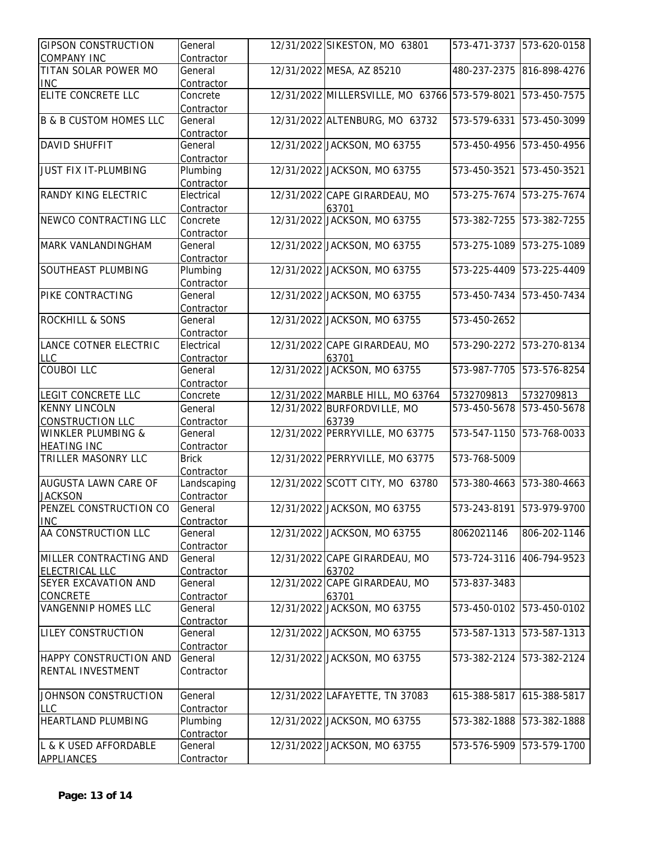| <b>GIPSON CONSTRUCTION</b>        | General               | 12/31/2022 SIKESTON, MO 63801                  |              | 573-471-3737 573-620-0158 |
|-----------------------------------|-----------------------|------------------------------------------------|--------------|---------------------------|
| <b>COMPANY INC</b>                | Contractor            |                                                |              |                           |
| TITAN SOLAR POWER MO              | General               | 12/31/2022 MESA, AZ 85210                      | 480-237-2375 | 816-898-4276              |
| <b>INC</b>                        | Contractor            |                                                |              |                           |
| ELITE CONCRETE LLC                | Concrete              | 12/31/2022 MILLERSVILLE, MO 63766 573-579-8021 |              | 573-450-7575              |
|                                   | Contractor            |                                                |              |                           |
| <b>B &amp; B CUSTOM HOMES LLC</b> | General               | 12/31/2022 ALTENBURG, MO 63732                 | 573-579-6331 | 573-450-3099              |
|                                   | Contractor            |                                                |              |                           |
| <b>DAVID SHUFFIT</b>              | General               | 12/31/2022 JACKSON, MO 63755                   | 573-450-4956 | 573-450-4956              |
|                                   | Contractor            |                                                |              |                           |
| JUST FIX IT-PLUMBING              | Plumbing              | 12/31/2022 JACKSON, MO 63755                   | 573-450-3521 | 573-450-3521              |
|                                   | Contractor            |                                                |              |                           |
| RANDY KING ELECTRIC               | Electrical            | 12/31/2022 CAPE GIRARDEAU, MO                  | 573-275-7674 | 573-275-7674              |
|                                   | Contractor            | 63701                                          |              |                           |
| NEWCO CONTRACTING LLC             | Concrete              | 12/31/2022 JACKSON, MO 63755                   | 573-382-7255 | 573-382-7255              |
|                                   | Contractor            |                                                |              |                           |
| <b>MARK VANLANDINGHAM</b>         | General               | 12/31/2022 JACKSON, MO 63755                   | 573-275-1089 | 573-275-1089              |
|                                   | Contractor            |                                                |              |                           |
| <b>SOUTHEAST PLUMBING</b>         | Plumbing              | 12/31/2022 JACKSON, MO 63755                   | 573-225-4409 | 573-225-4409              |
|                                   | Contractor            |                                                |              |                           |
| PIKE CONTRACTING                  | General               | 12/31/2022 JACKSON, MO 63755                   | 573-450-7434 | 573-450-7434              |
|                                   |                       |                                                |              |                           |
| <b>ROCKHILL &amp; SONS</b>        | Contractor<br>General | 12/31/2022 JACKSON, MO 63755                   | 573-450-2652 |                           |
|                                   |                       |                                                |              |                           |
|                                   | Contractor            |                                                |              |                           |
| LANCE COTNER ELECTRIC             | Electrical            | 12/31/2022 CAPE GIRARDEAU, MO                  | 573-290-2272 | 573-270-8134              |
| <b>LLC</b>                        | Contractor            | 63701                                          |              |                           |
| <b>COUBOI LLC</b>                 | General               | 12/31/2022 JACKSON, MO 63755                   | 573-987-7705 | 573-576-8254              |
|                                   | Contractor            |                                                |              |                           |
| LEGIT CONCRETE LLC                | Concrete              | 12/31/2022 MARBLE HILL, MO 63764               | 5732709813   | 5732709813                |
| <b>KENNY LINCOLN</b>              | General               | 12/31/2022 BURFORDVILLE, MO                    | 573-450-5678 | 573-450-5678              |
| <b>CONSTRUCTION LLC</b>           | Contractor            | 63739                                          |              |                           |
| <b>WINKLER PLUMBING &amp;</b>     | General               | 12/31/2022 PERRYVILLE, MO 63775                | 573-547-1150 | 573-768-0033              |
| <b>HEATING INC</b>                | Contractor            |                                                |              |                           |
| <b>TRILLER MASONRY LLC</b>        | <b>Brick</b>          | 12/31/2022 PERRYVILLE, MO 63775                | 573-768-5009 |                           |
|                                   | Contractor            |                                                |              |                           |
| AUGUSTA LAWN CARE OF              | Landscaping           | 12/31/2022 SCOTT CITY, MO 63780                | 573-380-4663 | 573-380-4663              |
| <b>JACKSON</b>                    | Contractor            |                                                |              |                           |
| PENZEL CONSTRUCTION CO            | General               | 12/31/2022 JACKSON, MO 63755                   |              | 573-243-8191 573-979-9700 |
| <b>INC</b>                        | Contractor            |                                                |              |                           |
| AA CONSTRUCTION LLC               | General               | 12/31/2022 JACKSON, MO 63755                   | 8062021146   | 806-202-1146              |
|                                   | Contractor            |                                                |              |                           |
| MILLER CONTRACTING AND            | General               | 12/31/2022 CAPE GIRARDEAU, MO                  | 573-724-3116 | 406-794-9523              |
| ELECTRICAL LLC                    | Contractor            | 63702                                          |              |                           |
| SEYER EXCAVATION AND              | General               | 12/31/2022 CAPE GIRARDEAU, MO                  | 573-837-3483 |                           |
| <b>CONCRETE</b>                   | Contractor            | 63701                                          |              |                           |
| <b>VANGENNIP HOMES LLC</b>        | General               | 12/31/2022 JACKSON, MO 63755                   | 573-450-0102 | 573-450-0102              |
|                                   | Contractor            |                                                |              |                           |
| LILEY CONSTRUCTION                | General               | 12/31/2022 JACKSON, MO 63755                   | 573-587-1313 | 573-587-1313              |
|                                   |                       |                                                |              |                           |
| HAPPY CONSTRUCTION AND            | Contractor            |                                                | 573-382-2124 | 573-382-2124              |
|                                   | General               | 12/31/2022 JACKSON, MO 63755                   |              |                           |
| RENTAL INVESTMENT                 | Contractor            |                                                |              |                           |
|                                   |                       |                                                |              |                           |
| JOHNSON CONSTRUCTION              | General               | 12/31/2022 LAFAYETTE, TN 37083                 | 615-388-5817 | 615-388-5817              |
| <b>LLC</b>                        | Contractor            |                                                |              |                           |
| <b>HEARTLAND PLUMBING</b>         | Plumbing              | 12/31/2022 JACKSON, MO 63755                   | 573-382-1888 | 573-382-1888              |
|                                   | Contractor            |                                                |              |                           |
| L & K USED AFFORDABLE             | General               | 12/31/2022 JACKSON, MO 63755                   | 573-576-5909 | 573-579-1700              |
| <b>APPLIANCES</b>                 | Contractor            |                                                |              |                           |